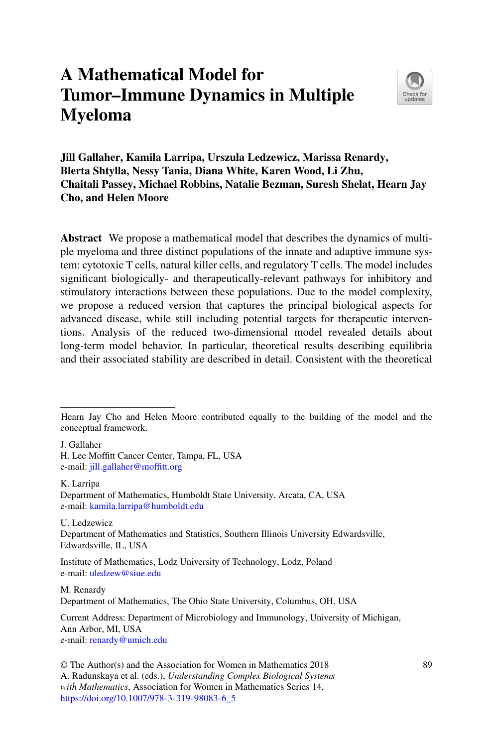# **A Mathematical Model for Tumor–Immune Dynamics in Multiple Myeloma**



**Jill Gallaher, Kamila Larripa, Urszula Ledzewicz, Marissa Renardy, Blerta Shtylla, Nessy Tania, Diana White, Karen Wood, Li Zhu, Chaitali Passey, Michael Robbins, Natalie Bezman, Suresh Shelat, Hearn Jay Cho, and Helen Moore**

**Abstract** We propose a mathematical model that describes the dynamics of multiple myeloma and three distinct populations of the innate and adaptive immune system: cytotoxic T cells, natural killer cells, and regulatory T cells. The model includes significant biologically- and therapeutically-relevant pathways for inhibitory and stimulatory interactions between these populations. Due to the model complexity, we propose a reduced version that captures the principal biological aspects for advanced disease, while still including potential targets for therapeutic interventions. Analysis of the reduced two-dimensional model revealed details about long-term model behavior. In particular, theoretical results describing equilibria and their associated stability are described in detail. Consistent with the theoretical

J. Gallaher H. Lee Moffitt Cancer Center, Tampa, FL, USA e-mail: [jill.gallaher@moffitt.org](mailto:jill.gallaher@moffitt.org)

K. Larripa

Department of Mathematics, Humboldt State University, Arcata, CA, USA e-mail: [kamila.larripa@humboldt.edu](mailto:kamila.larripa@humboldt.edu)

U. Ledzewicz Department of Mathematics and Statistics, Southern Illinois University Edwardsville, Edwardsville, IL, USA

Institute of Mathematics, Lodz University of Technology, Lodz, Poland e-mail: [uledzew@siue.edu](mailto:uledzew@siue.edu)

M. Renardy Department of Mathematics, The Ohio State University, Columbus, OH, USA

Current Address: Department of Microbiology and Immunology, University of Michigan, Ann Arbor, MI, USA e-mail: [renardy@umich.edu](mailto:renardy@umich.edu)

Hearn Jay Cho and Helen Moore contributed equally to the building of the model and the conceptual framework.

<sup>©</sup> The Author(s) and the Association for Women in Mathematics 2018 A. Radunskaya et al. (eds.), *Understanding Complex Biological Systems with Mathematics*, Association for Women in Mathematics Series 14, [https://doi.org/10.1007/978-3-319-98083-6\\_5](https://doi.org/10.1007/978-3-319-98083-6_5)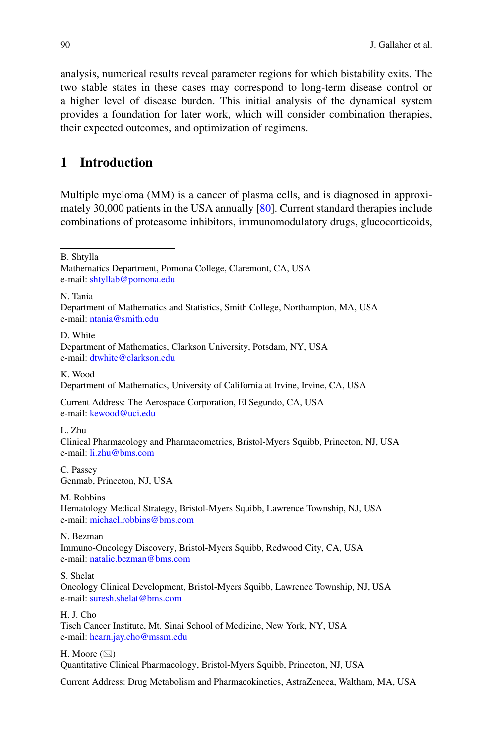analysis, numerical results reveal parameter regions for which bistability exits. The two stable states in these cases may correspond to long-term disease control or a higher level of disease burden. This initial analysis of the dynamical system provides a foundation for later work, which will consider combination therapies, their expected outcomes, and optimization of regimens.

### **1 Introduction**

Multiple myeloma (MM) is a cancer of plasma cells, and is diagnosed in approximately 30,000 patients in the USA annually [\[80\]](#page-32-0). Current standard therapies include combinations of proteasome inhibitors, immunomodulatory drugs, glucocorticoids,

B. Shtylla

N. Tania

D. White Department of Mathematics, Clarkson University, Potsdam, NY, USA e-mail: [dtwhite@clarkson.edu](mailto:dtwhite@clarkson.edu)

K. Wood

Department of Mathematics, University of California at Irvine, Irvine, CA, USA

Current Address: The Aerospace Corporation, El Segundo, CA, USA e-mail: [kewood@uci.edu](mailto:kewood@uci.edu)

L. Zhu

Clinical Pharmacology and Pharmacometrics, Bristol-Myers Squibb, Princeton, NJ, USA e-mail: [li.zhu@bms.com](mailto:li.zhu@bms.com)

C. Passey Genmab, Princeton, NJ, USA

M. Robbins

Hematology Medical Strategy, Bristol-Myers Squibb, Lawrence Township, NJ, USA e-mail: [michael.robbins@bms.com](mailto:michael.robbins@bms.com)

```
N. Bezman
Immuno-Oncology Discovery, Bristol-Myers Squibb, Redwood City, CA, USA
e-mail: natalie.bezman@bms.com
```
S. Shelat

Oncology Clinical Development, Bristol-Myers Squibb, Lawrence Township, NJ, USA e-mail: [suresh.shelat@bms.com](mailto:suresh.shelat@bms.com)

H. J. Cho Tisch Cancer Institute, Mt. Sinai School of Medicine, New York, NY, USA e-mail: [hearn.jay.cho@mssm.edu](mailto:hearn.jay.cho@mssm.edu)

H. Moore  $(\boxtimes)$ Quantitative Clinical Pharmacology, Bristol-Myers Squibb, Princeton, NJ, USA

Current Address: Drug Metabolism and Pharmacokinetics, AstraZeneca, Waltham, MA, USA

Mathematics Department, Pomona College, Claremont, CA, USA e-mail: [shtyllab@pomona.edu](mailto:shtyllab@pomona.edu)

Department of Mathematics and Statistics, Smith College, Northampton, MA, USA e-mail: [ntania@smith.edu](mailto:ntania@smith.edu)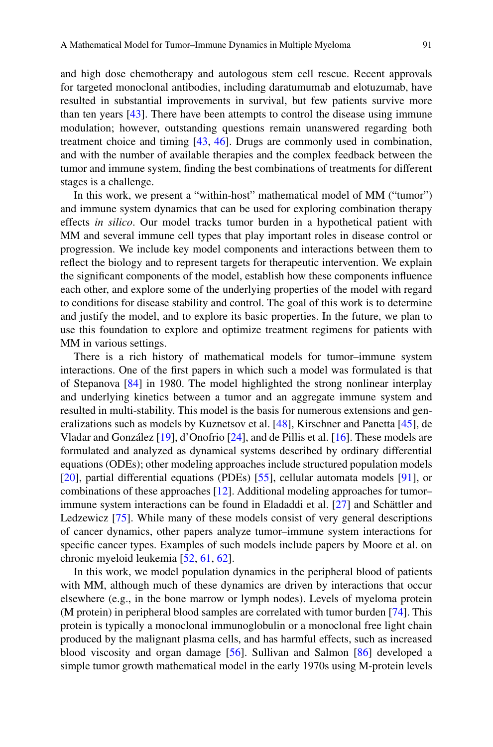and high dose chemotherapy and autologous stem cell rescue. Recent approvals for targeted monoclonal antibodies, including daratumumab and elotuzumab, have resulted in substantial improvements in survival, but few patients survive more than ten years [\[43\]](#page-30-0). There have been attempts to control the disease using immune modulation; however, outstanding questions remain unanswered regarding both treatment choice and timing [\[43,](#page-30-0) [46\]](#page-30-1). Drugs are commonly used in combination, and with the number of available therapies and the complex feedback between the tumor and immune system, finding the best combinations of treatments for different stages is a challenge.

In this work, we present a "within-host" mathematical model of MM ("tumor") and immune system dynamics that can be used for exploring combination therapy effects *in silico*. Our model tracks tumor burden in a hypothetical patient with MM and several immune cell types that play important roles in disease control or progression. We include key model components and interactions between them to reflect the biology and to represent targets for therapeutic intervention. We explain the significant components of the model, establish how these components influence each other, and explore some of the underlying properties of the model with regard to conditions for disease stability and control. The goal of this work is to determine and justify the model, and to explore its basic properties. In the future, we plan to use this foundation to explore and optimize treatment regimens for patients with MM in various settings.

There is a rich history of mathematical models for tumor–immune system interactions. One of the first papers in which such a model was formulated is that of Stepanova [\[84\]](#page-32-1) in 1980. The model highlighted the strong nonlinear interplay and underlying kinetics between a tumor and an aggregate immune system and resulted in multi-stability. This model is the basis for numerous extensions and generalizations such as models by Kuznetsov et al. [\[48\]](#page-30-2), Kirschner and Panetta [\[45\]](#page-30-3), de Vladar and González [\[19\]](#page-29-0), d'Onofrio [\[24\]](#page-29-1), and de Pillis et al. [\[16\]](#page-29-2). These models are formulated and analyzed as dynamical systems described by ordinary differential equations (ODEs); other modeling approaches include structured population models [\[20\]](#page-29-3), partial differential equations (PDEs) [\[55\]](#page-31-0), cellular automata models [\[91\]](#page-33-0), or combinations of these approaches [\[12\]](#page-28-0). Additional modeling approaches for tumor– immune system interactions can be found in Eladaddi et al. [\[27\]](#page-29-4) and Schättler and Ledzewicz [\[75\]](#page-32-2). While many of these models consist of very general descriptions of cancer dynamics, other papers analyze tumor–immune system interactions for specific cancer types. Examples of such models include papers by Moore et al. on chronic myeloid leukemia [\[52,](#page-31-1) [61,](#page-31-2) [62\]](#page-31-3).

In this work, we model population dynamics in the peripheral blood of patients with MM, although much of these dynamics are driven by interactions that occur elsewhere (e.g., in the bone marrow or lymph nodes). Levels of myeloma protein (M protein) in peripheral blood samples are correlated with tumor burden [\[74\]](#page-32-3). This protein is typically a monoclonal immunoglobulin or a monoclonal free light chain produced by the malignant plasma cells, and has harmful effects, such as increased blood viscosity and organ damage [\[56\]](#page-31-4). Sullivan and Salmon [\[86\]](#page-32-4) developed a simple tumor growth mathematical model in the early 1970s using M-protein levels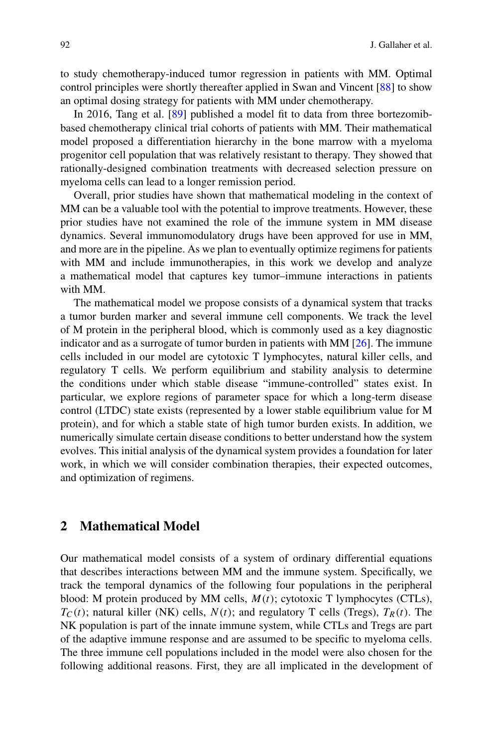to study chemotherapy-induced tumor regression in patients with MM. Optimal control principles were shortly thereafter applied in Swan and Vincent [\[88\]](#page-32-5) to show an optimal dosing strategy for patients with MM under chemotherapy.

In 2016, Tang et al. [\[89\]](#page-32-6) published a model fit to data from three bortezomibbased chemotherapy clinical trial cohorts of patients with MM. Their mathematical model proposed a differentiation hierarchy in the bone marrow with a myeloma progenitor cell population that was relatively resistant to therapy. They showed that rationally-designed combination treatments with decreased selection pressure on myeloma cells can lead to a longer remission period.

Overall, prior studies have shown that mathematical modeling in the context of MM can be a valuable tool with the potential to improve treatments. However, these prior studies have not examined the role of the immune system in MM disease dynamics. Several immunomodulatory drugs have been approved for use in MM, and more are in the pipeline. As we plan to eventually optimize regimens for patients with MM and include immunotherapies, in this work we develop and analyze a mathematical model that captures key tumor–immune interactions in patients with MM.

The mathematical model we propose consists of a dynamical system that tracks a tumor burden marker and several immune cell components. We track the level of M protein in the peripheral blood, which is commonly used as a key diagnostic indicator and as a surrogate of tumor burden in patients with MM [\[26\]](#page-29-5). The immune cells included in our model are cytotoxic T lymphocytes, natural killer cells, and regulatory T cells. We perform equilibrium and stability analysis to determine the conditions under which stable disease "immune-controlled" states exist. In particular, we explore regions of parameter space for which a long-term disease control (LTDC) state exists (represented by a lower stable equilibrium value for M protein), and for which a stable state of high tumor burden exists. In addition, we numerically simulate certain disease conditions to better understand how the system evolves. This initial analysis of the dynamical system provides a foundation for later work, in which we will consider combination therapies, their expected outcomes, and optimization of regimens.

#### **2 Mathematical Model**

Our mathematical model consists of a system of ordinary differential equations that describes interactions between MM and the immune system. Specifically, we track the temporal dynamics of the following four populations in the peripheral blood: M protein produced by MM cells, *M(t)*; cytotoxic T lymphocytes (CTLs),  $T_C(t)$ ; natural killer (NK) cells,  $N(t)$ ; and regulatory T cells (Tregs),  $T_R(t)$ . The NK population is part of the innate immune system, while CTLs and Tregs are part of the adaptive immune response and are assumed to be specific to myeloma cells. The three immune cell populations included in the model were also chosen for the following additional reasons. First, they are all implicated in the development of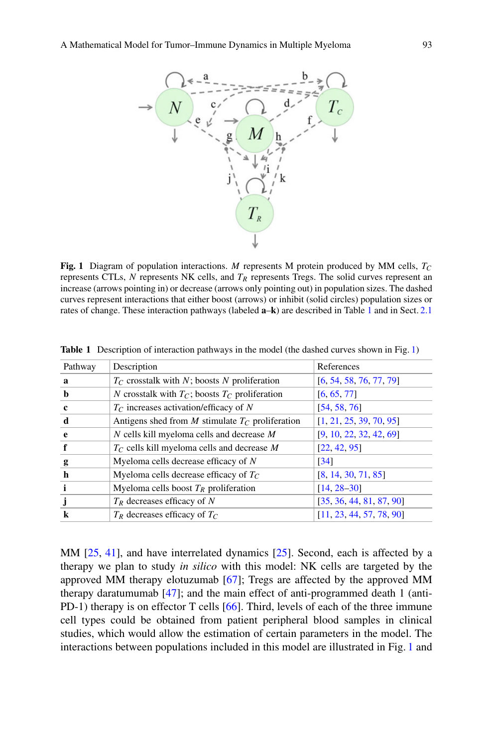

<span id="page-4-1"></span>**Fig. 1** Diagram of population interactions. *M* represents M protein produced by MM cells, *TC* represents CTLs, *N* represents NK cells, and *TR* represents Tregs. The solid curves represent an increase (arrows pointing in) or decrease (arrows only pointing out) in population sizes. The dashed curves represent interactions that either boost (arrows) or inhibit (solid circles) population sizes or rates of change. These interaction pathways (labeled **a**–**k**) are described in Table [1](#page-4-0) and in Sect. [2.1](#page-6-0)

<span id="page-4-0"></span>

| Pathway | Description                                         | References               |
|---------|-----------------------------------------------------|--------------------------|
|         |                                                     |                          |
| a       | $T_C$ crosstalk with N; boosts N proliferation      | [6, 54, 58, 76, 77, 79]  |
| b       | N crosstalk with $T_C$ ; boosts $T_C$ proliferation | [6, 65, 77]              |
| c       | $T_C$ increases activation/efficacy of N            | [54, 58, 76]             |
| d       | Antigens shed from M stimulate $T_C$ proliferation  | [1, 21, 25, 39, 70, 95]  |
| e       | $N$ cells kill myeloma cells and decrease $M$       | [9, 10, 22, 32, 42, 69]  |
| f       | $T_C$ cells kill myeloma cells and decrease M       | [22, 42, 95]             |
| g       | Myeloma cells decrease efficacy of $N$              | $\left[34\right]$        |
| h       | Myeloma cells decrease efficacy of $T_c$            | [8, 14, 30, 71, 85]      |
| j       | Myeloma cells boost $T_R$ proliferation             | $[14, 28 - 30]$          |
| j       | $T_R$ decreases efficacy of N                       | [35, 36, 44, 81, 87, 90] |
| k       | $T_R$ decreases efficacy of $T_C$                   | [11, 23, 44, 57, 78, 90] |

**Table 1** Description of interaction pathways in the model (the dashed curves shown in Fig. [1\)](#page-4-1)

MM  $[25, 41]$  $[25, 41]$  $[25, 41]$ , and have interrelated dynamics  $[25]$ . Second, each is affected by a therapy we plan to study *in silico* with this model: NK cells are targeted by the approved MM therapy elotuzumab [\[67\]](#page-31-5); Tregs are affected by the approved MM therapy daratumumab [\[47\]](#page-30-5); and the main effect of anti-programmed death 1 (anti-PD-1) therapy is on effector T cells [\[66\]](#page-31-6). Third, levels of each of the three immune cell types could be obtained from patient peripheral blood samples in clinical studies, which would allow the estimation of certain parameters in the model. The interactions between populations included in this model are illustrated in Fig. [1](#page-4-1) and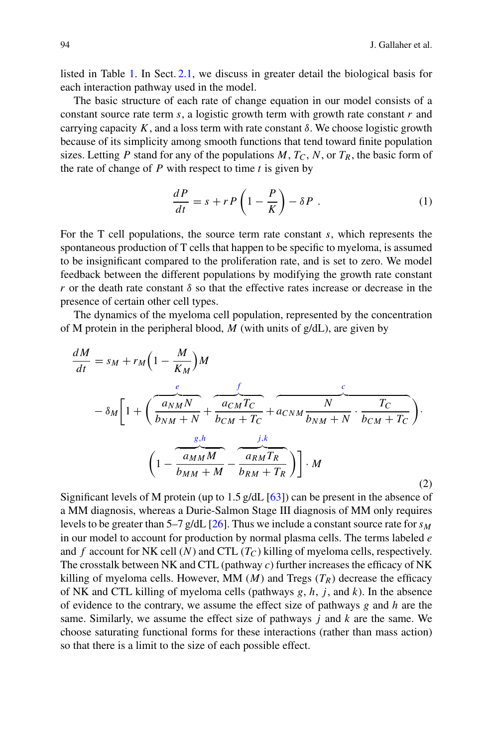listed in Table [1.](#page-4-0) In Sect. [2.1,](#page-6-0) we discuss in greater detail the biological basis for each interaction pathway used in the model.

The basic structure of each rate of change equation in our model consists of a constant source rate term *s*, a logistic growth term with growth rate constant *r* and carrying capacity K, and a loss term with rate constant  $\delta$ . We choose logistic growth because of its simplicity among smooth functions that tend toward finite population sizes. Letting *P* stand for any of the populations  $M$ ,  $T_c$ ,  $N$ , or  $T_R$ , the basic form of the rate of change of *P* with respect to time *t* is given by

$$
\frac{dP}{dt} = s + rP\left(1 - \frac{P}{K}\right) - \delta P \tag{1}
$$

For the T cell populations, the source term rate constant *s*, which represents the spontaneous production of T cells that happen to be specific to myeloma, is assumed to be insignificant compared to the proliferation rate, and is set to zero. We model feedback between the different populations by modifying the growth rate constant *r* or the death rate constant *δ* so that the effective rates increase or decrease in the presence of certain other cell types.

The dynamics of the myeloma cell population, represented by the concentration of M protein in the peripheral blood, *M* (with units of g/dL), are given by

<span id="page-5-0"></span>
$$
\frac{dM}{dt} = s_M + r_M \left( 1 - \frac{M}{K_M} \right) M
$$
\n
$$
- \delta_M \left[ 1 + \left( \frac{a_{NM} N}{b_{NM} + N} + \frac{a_{CM} T_C}{b_{CM} + T_C} + \frac{c}{a_{CM} M} \frac{N}{b_{NM} + N} \cdot \frac{T_C}{b_{CM} + T_C} \right) \cdot \frac{g, h}{b_{MM} + M} - \frac{j, k}{b_{RM} + T_R} \right) \right] \cdot M
$$
\n(2)

Significant levels of M protein (up to 1.5  $g/dL$  [\[63\]](#page-31-7)) can be present in the absence of a MM diagnosis, whereas a Durie-Salmon Stage III diagnosis of MM only requires levels to be greater than  $5-7$  g/dL  $[26]$ . Thus we include a constant source rate for  $s_M$ in our model to account for production by normal plasma cells. The terms labeled *e* and  $f$  account for NK cell  $(N)$  and CTL  $(T_C)$  killing of myeloma cells, respectively. The crosstalk between NK and CTL (pathway *c*) further increases the efficacy of NK killing of myeloma cells. However, MM  $(M)$  and Tregs  $(T_R)$  decrease the efficacy of NK and CTL killing of myeloma cells (pathways *g*, *h*, *j* , and *k*). In the absence of evidence to the contrary, we assume the effect size of pathways *g* and *h* are the same. Similarly, we assume the effect size of pathways *j* and *k* are the same. We choose saturating functional forms for these interactions (rather than mass action) so that there is a limit to the size of each possible effect.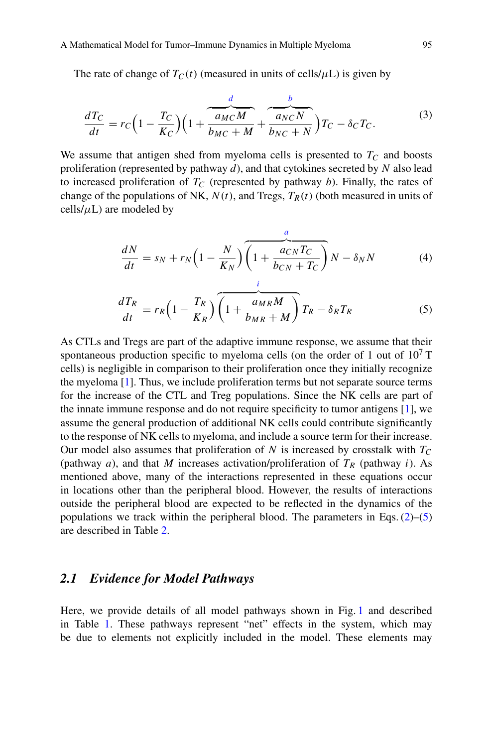The rate of change of  $T_C(t)$  (measured in units of cells/ $\mu$ L) is given by

$$
\frac{dT_C}{dt} = r_C \Big( 1 - \frac{T_C}{K_C} \Big) \Big( 1 + \frac{a_{MC} M}{b_{MC} + M} + \frac{b}{b_{NC} + N} \Big) T_C - \delta_C T_C.
$$
\n(3)

We assume that antigen shed from myeloma cells is presented to  $T_c$  and boosts proliferation (represented by pathway *d*), and that cytokines secreted by *N* also lead to increased proliferation of  $T_c$  (represented by pathway *b*). Finally, the rates of change of the populations of NK,  $N(t)$ , and Tregs,  $T_R(t)$  (both measured in units of cells/*μ*L) are modeled by

<span id="page-6-1"></span>
$$
\frac{dN}{dt} = s_N + r_N \left( 1 - \frac{N}{K_N} \right) \overbrace{\left( 1 + \frac{a_{CN} T_C}{b_{CN} + T_C} \right)}^{a} N - \delta_N N
$$
(4)

$$
\frac{dT_R}{dt} = r_R \left( 1 - \frac{T_R}{K_R} \right) \overline{\left( 1 + \frac{a_{MR} M}{b_{MR} + M} \right)} T_R - \delta_R T_R \tag{5}
$$

As CTLs and Tregs are part of the adaptive immune response, we assume that their spontaneous production specific to myeloma cells (on the order of 1 out of  $10^7$  T cells) is negligible in comparison to their proliferation once they initially recognize the myeloma [\[1\]](#page-28-1). Thus, we include proliferation terms but not separate source terms for the increase of the CTL and Treg populations. Since the NK cells are part of the innate immune response and do not require specificity to tumor antigens [\[1\]](#page-28-1), we assume the general production of additional NK cells could contribute significantly to the response of NK cells to myeloma, and include a source term for their increase. Our model also assumes that proliferation of  $N$  is increased by crosstalk with  $T_C$ (pathway *a*), and that *M* increases activation/proliferation of  $T_R$  (pathway *i*). As mentioned above, many of the interactions represented in these equations occur in locations other than the peripheral blood. However, the results of interactions outside the peripheral blood are expected to be reflected in the dynamics of the populations we track within the peripheral blood. The parameters in Eqs.  $(2)$ –[\(5\)](#page-6-1) are described in Table [2.](#page-10-0)

#### <span id="page-6-0"></span>*2.1 Evidence for Model Pathways*

Here, we provide details of all model pathways shown in Fig. [1](#page-4-1) and described in Table [1.](#page-4-0) These pathways represent "net" effects in the system, which may be due to elements not explicitly included in the model. These elements may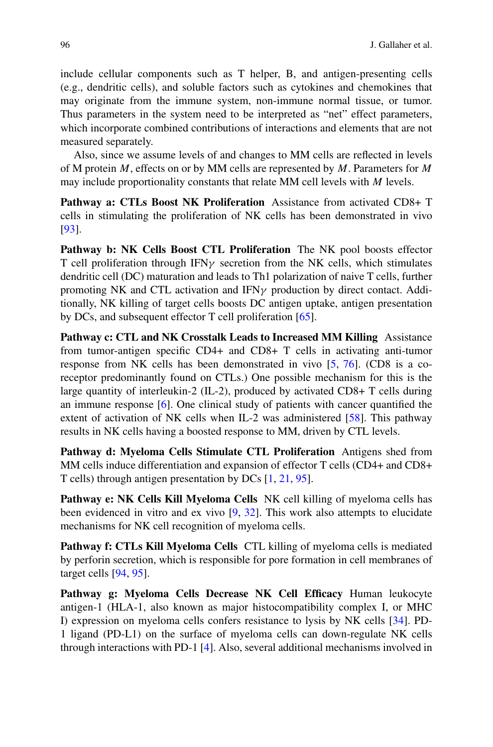include cellular components such as T helper, B, and antigen-presenting cells (e.g., dendritic cells), and soluble factors such as cytokines and chemokines that may originate from the immune system, non-immune normal tissue, or tumor. Thus parameters in the system need to be interpreted as "net" effect parameters, which incorporate combined contributions of interactions and elements that are not measured separately.

Also, since we assume levels of and changes to MM cells are reflected in levels of M protein *M*, effects on or by MM cells are represented by *M*. Parameters for *M* may include proportionality constants that relate MM cell levels with *M* levels.

**Pathway a: CTLs Boost NK Proliferation** Assistance from activated CD8+ T cells in stimulating the proliferation of NK cells has been demonstrated in vivo [\[93\]](#page-33-1).

**Pathway b: NK Cells Boost CTL Proliferation** The NK pool boosts effector T cell proliferation through IFN*γ* secretion from the NK cells, which stimulates dendritic cell (DC) maturation and leads to Th1 polarization of naive T cells, further promoting NK and CTL activation and IFN*γ* production by direct contact. Additionally, NK killing of target cells boosts DC antigen uptake, antigen presentation by DCs, and subsequent effector T cell proliferation [\[65\]](#page-31-8).

**Pathway c: CTL and NK Crosstalk Leads to Increased MM Killing** Assistance from tumor-antigen specific CD4+ and CD8+ T cells in activating anti-tumor response from NK cells has been demonstrated in vivo [\[5,](#page-28-2) [76\]](#page-32-7). (CD8 is a coreceptor predominantly found on CTLs.) One possible mechanism for this is the large quantity of interleukin-2 (IL-2), produced by activated CD8+ T cells during an immune response [\[6\]](#page-28-3). One clinical study of patients with cancer quantified the extent of activation of NK cells when IL-2 was administered [\[58\]](#page-31-9). This pathway results in NK cells having a boosted response to MM, driven by CTL levels.

**Pathway d: Myeloma Cells Stimulate CTL Proliferation** Antigens shed from MM cells induce differentiation and expansion of effector T cells (CD4+ and CD8+ T cells) through antigen presentation by DCs [\[1,](#page-28-1) [21,](#page-29-7) [95\]](#page-33-2).

**Pathway e: NK Cells Kill Myeloma Cells** NK cell killing of myeloma cells has been evidenced in vitro and ex vivo [\[9,](#page-28-4) [32\]](#page-30-6). This work also attempts to elucidate mechanisms for NK cell recognition of myeloma cells.

**Pathway f: CTLs Kill Myeloma Cells** CTL killing of myeloma cells is mediated by perforin secretion, which is responsible for pore formation in cell membranes of target cells [\[94,](#page-33-3) [95\]](#page-33-2).

**Pathway g: Myeloma Cells Decrease NK Cell Efficacy** Human leukocyte antigen-1 (HLA-1, also known as major histocompatibility complex I, or MHC I) expression on myeloma cells confers resistance to lysis by NK cells [\[34\]](#page-30-7). PD-1 ligand (PD-L1) on the surface of myeloma cells can down-regulate NK cells through interactions with PD-1 [\[4\]](#page-28-5). Also, several additional mechanisms involved in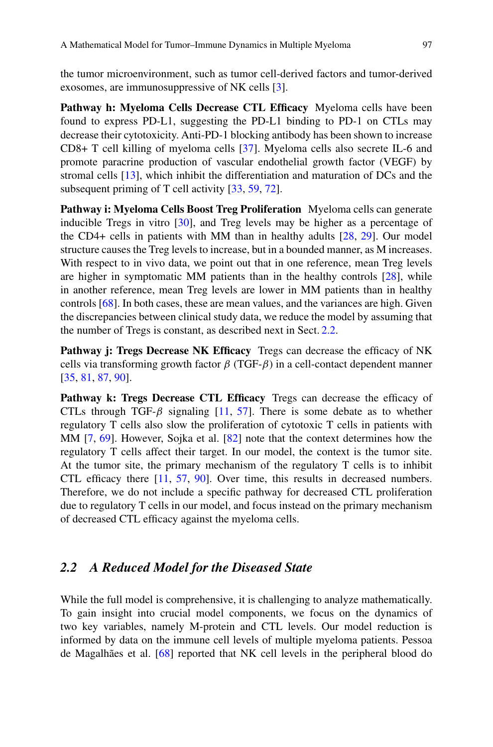the tumor microenvironment, such as tumor cell-derived factors and tumor-derived exosomes, are immunosuppressive of NK cells [\[3\]](#page-28-6).

**Pathway h: Myeloma Cells Decrease CTL Efficacy** Myeloma cells have been found to express PD-L1, suggesting the PD-L1 binding to PD-1 on CTLs may decrease their cytotoxicity. Anti-PD-1 blocking antibody has been shown to increase CD8+ T cell killing of myeloma cells [\[37\]](#page-30-8). Myeloma cells also secrete IL-6 and promote paracrine production of vascular endothelial growth factor (VEGF) by stromal cells [\[13\]](#page-29-8), which inhibit the differentiation and maturation of DCs and the subsequent priming of T cell activity [\[33,](#page-30-9) [59,](#page-31-10) [72\]](#page-32-8).

**Pathway i: Myeloma Cells Boost Treg Proliferation** Myeloma cells can generate inducible Tregs in vitro [\[30\]](#page-29-9), and Treg levels may be higher as a percentage of the CD4+ cells in patients with MM than in healthy adults [\[28,](#page-29-10) [29\]](#page-29-11). Our model structure causes the Treg levels to increase, but in a bounded manner, as M increases. With respect to in vivo data, we point out that in one reference, mean Treg levels are higher in symptomatic MM patients than in the healthy controls [\[28\]](#page-29-10), while in another reference, mean Treg levels are lower in MM patients than in healthy controls [\[68\]](#page-31-11). In both cases, these are mean values, and the variances are high. Given the discrepancies between clinical study data, we reduce the model by assuming that the number of Tregs is constant, as described next in Sect. [2.2.](#page-8-0)

**Pathway j: Tregs Decrease NK Efficacy** Tregs can decrease the efficacy of NK cells via transforming growth factor *β* (TGF-*β*) in a cell-contact dependent manner [\[35,](#page-30-10) [81,](#page-32-9) [87,](#page-32-10) [90\]](#page-33-4).

**Pathway k: Tregs Decrease CTL Efficacy** Tregs can decrease the efficacy of CTLs through TGF- $\beta$  signaling [\[11,](#page-28-7) [57\]](#page-31-12). There is some debate as to whether regulatory T cells also slow the proliferation of cytotoxic T cells in patients with MM [\[7,](#page-28-8) [69\]](#page-32-11). However, Sojka et al. [\[82\]](#page-32-12) note that the context determines how the regulatory T cells affect their target. In our model, the context is the tumor site. At the tumor site, the primary mechanism of the regulatory T cells is to inhibit CTL efficacy there [\[11,](#page-28-7) [57,](#page-31-12) [90\]](#page-33-4). Over time, this results in decreased numbers. Therefore, we do not include a specific pathway for decreased CTL proliferation due to regulatory T cells in our model, and focus instead on the primary mechanism of decreased CTL efficacy against the myeloma cells.

#### <span id="page-8-0"></span>*2.2 A Reduced Model for the Diseased State*

While the full model is comprehensive, it is challenging to analyze mathematically. To gain insight into crucial model components, we focus on the dynamics of two key variables, namely M-protein and CTL levels. Our model reduction is informed by data on the immune cell levels of multiple myeloma patients. Pessoa de Magalhães et al. [\[68\]](#page-31-11) reported that NK cell levels in the peripheral blood do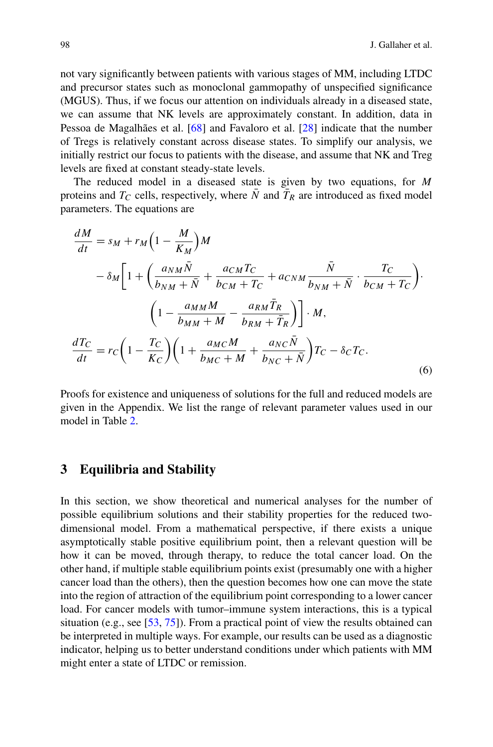not vary significantly between patients with various stages of MM, including LTDC and precursor states such as monoclonal gammopathy of unspecified significance (MGUS). Thus, if we focus our attention on individuals already in a diseased state, we can assume that NK levels are approximately constant. In addition, data in Pessoa de Magalhães et al. [\[68\]](#page-31-11) and Favaloro et al. [\[28\]](#page-29-10) indicate that the number of Tregs is relatively constant across disease states. To simplify our analysis, we initially restrict our focus to patients with the disease, and assume that NK and Treg levels are fixed at constant steady-state levels.

The reduced model in a diseased state is given by two equations, for *M* proteins and  $T_C$  cells, respectively, where  $N$  and  $T_R$  are introduced as fixed model parameters. The equations are

<span id="page-9-0"></span>
$$
\frac{dM}{dt} = s_M + r_M \Big( 1 - \frac{M}{K_M} \Big) M
$$
  

$$
- \delta_M \Bigg[ 1 + \Big( \frac{a_{NM} \bar{N}}{b_{NM} + \bar{N}} + \frac{a_{CM} T_C}{b_{CM} + T_C} + a_{CNM} \frac{\bar{N}}{b_{NM} + \bar{N}} \cdot \frac{T_C}{b_{CM} + T_C} \Big) \cdot \Bigg]
$$
  

$$
\Big( 1 - \frac{a_{MM} M}{b_{MM} + M} - \frac{a_{RM} \bar{T}_R}{b_{RM} + \bar{T}_R} \Big) \Bigg] \cdot M,
$$
  

$$
\frac{dT_C}{dt} = r_C \Big( 1 - \frac{T_C}{K_C} \Big) \Big( 1 + \frac{a_{MC} M}{b_{MC} + M} + \frac{a_{NC} \bar{N}}{b_{NC} + \bar{N}} \Big) T_C - \delta_C T_C.
$$
  
(6)

Proofs for existence and uniqueness of solutions for the full and reduced models are given in the Appendix. We list the range of relevant parameter values used in our model in Table [2.](#page-10-0)

#### **3 Equilibria and Stability**

In this section, we show theoretical and numerical analyses for the number of possible equilibrium solutions and their stability properties for the reduced twodimensional model. From a mathematical perspective, if there exists a unique asymptotically stable positive equilibrium point, then a relevant question will be how it can be moved, through therapy, to reduce the total cancer load. On the other hand, if multiple stable equilibrium points exist (presumably one with a higher cancer load than the others), then the question becomes how one can move the state into the region of attraction of the equilibrium point corresponding to a lower cancer load. For cancer models with tumor–immune system interactions, this is a typical situation (e.g., see [\[53,](#page-31-13) [75\]](#page-32-2)). From a practical point of view the results obtained can be interpreted in multiple ways. For example, our results can be used as a diagnostic indicator, helping us to better understand conditions under which patients with MM might enter a state of LTDC or remission.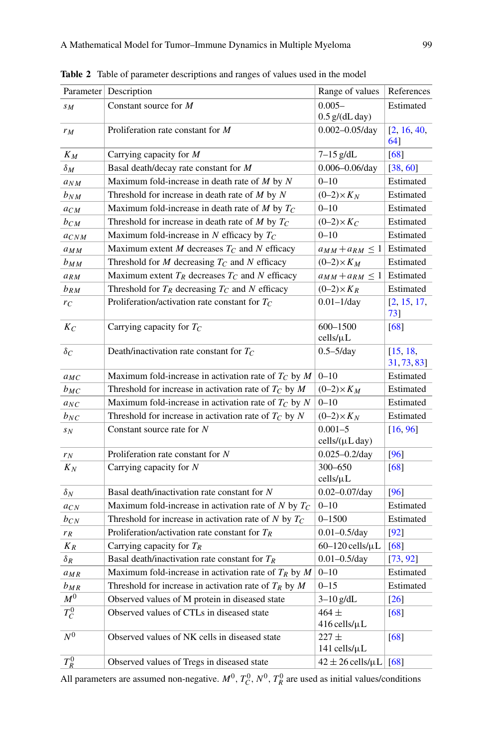<span id="page-10-0"></span>

|            | Parameter   Description                                  | Range of values                            | References              |
|------------|----------------------------------------------------------|--------------------------------------------|-------------------------|
| $S_{M}$    | Constant source for M                                    | $0.005 -$                                  | Estimated               |
|            |                                                          | $0.5$ g/(dL day)                           |                         |
| $r_M$      | Proliferation rate constant for $M$                      | $0.002 - 0.05$ /day                        | [2, 16, 40,<br>64]      |
| $K_M$      | Carrying capacity for $M$                                | 7–15 g/dL                                  | [68]                    |
| $\delta_M$ | Basal death/decay rate constant for M                    | $0.006 - 0.06$ /day                        | [38, 60]                |
| $a_{NM}$   | Maximum fold-increase in death rate of $M$ by $N$        | $0 - 10$                                   | Estimated               |
| $b_{NM}$   | Threshold for increase in death rate of $M$ by $N$       | $(0-2)\times K_N$                          | Estimated               |
| $a_{CM}$   | Maximum fold-increase in death rate of M by $T_C$        | $0 - 10$                                   | Estimated               |
| $b_{CM}$   | Threshold for increase in death rate of M by $T_C$       | $(0-2)\times K_C$                          | Estimated               |
| $a_{CNM}$  | Maximum fold-increase in N efficacy by $T_C$             | $0 - 10$                                   | Estimated               |
| $a_{MM}$   | Maximum extent M decreases $T_C$ and N efficacy          | $a_{MM}+a_{RM}\leq 1$                      | Estimated               |
| $b_{MM}$   | Threshold for $M$ decreasing $T_C$ and $N$ efficacy      | $(0-2)\times K_M$                          | Estimated               |
| $a_{RM}$   | Maximum extent $T_R$ decreases $T_C$ and N efficacy      | $a_{MM}+a_{RM}\leq 1$                      | Estimated               |
| $b_{RM}$   | Threshold for $T_R$ decreasing $T_C$ and N efficacy      | $(0-2)\times K_R$                          | Estimated               |
| $r_C$      | Proliferation/activation rate constant for $T_C$         | $0.01 - 1$ /day                            | [2, 15, 17,<br>73]      |
| $K_C$      | Carrying capacity for $T_C$                              | 600-1500<br>cells/µL                       | [68]                    |
| $\delta_C$ | Death/inactivation rate constant for $T_C$               | $0.5 - 5$ /day                             | [15, 18,<br>31, 73, 83] |
| $a_{MC}$   | Maximum fold-increase in activation rate of $T_C$ by M   | $0 - 10$                                   | Estimated               |
| $b_{MC}$   | Threshold for increase in activation rate of $T_C$ by M  | $(0-2)\times K_M$                          | Estimated               |
| $a_{NC}$   | Maximum fold-increase in activation rate of $T_C$ by N   | $0 - 10$                                   | Estimated               |
| $b_{NC}$   | Threshold for increase in activation rate of $T_C$ by N  | $(0-2)\times K_N$                          | Estimated               |
| $s_N$      | Constant source rate for N                               | $0.001 - 5$<br>$cells/(\mu L \text{ day})$ | [16, 96]                |
| $r_N$      | Proliferation rate constant for N                        | $0.025 - 0.2$ /day                         | [96]                    |
| $K_N$      | Carrying capacity for $N$                                | 300-650<br>cells/µL                        | [68]                    |
| $\delta_N$ | Basal death/inactivation rate constant for N             | $0.02 - 0.07$ /day                         | [96]                    |
| $a_{CN}$   | Maximum fold-increase in activation rate of $N$ by $T_C$ | $0 - 10$                                   | Estimated               |
| $b_{CN}$   | Threshold for increase in activation rate of N by $T_C$  | 0–1500                                     | Estimated               |
| $r_R$      | Proliferation/activation rate constant for $T_R$         | $0.01 - 0.5$ /day                          | $[92]$                  |
| $K_R$      | Carrying capacity for $T_R$                              | $60-120$ cells/ $\mu$ L                    | [68]                    |
| $\delta_R$ | Basal death/inactivation rate constant for $T_R$         | $0.01 - 0.5$ /day                          | [73, 92]                |
| $a_{MR}$   | Maximum fold-increase in activation rate of $T_R$ by M   | $0 - 10$                                   | Estimated               |
| $b_{MR}$   | Threshold for increase in activation rate of $T_R$ by M  | $0 - 15$                                   | Estimated               |
| $M^0$      | Observed values of M protein in diseased state           | $3-10$ g/dL                                | [26]                    |
| $T_C^0$    | Observed values of CTLs in diseased state                | $464 \pm$<br>$416$ cells/ $\mu$ L          | [68]                    |
| $N^0$      | Observed values of NK cells in diseased state            | $227 +$<br>141 cells/ $\mu$ L              | [68]                    |
| $T_R^0$    | Observed values of Tregs in diseased state               | $42 \pm 26$ cells/µL                       | [68]                    |

**Table 2** Table of parameter descriptions and ranges of values used in the model

All parameters are assumed non-negative.  $M^0$ ,  $T_C^0$ ,  $N^0$ ,  $T_R^0$  are used as initial values/conditions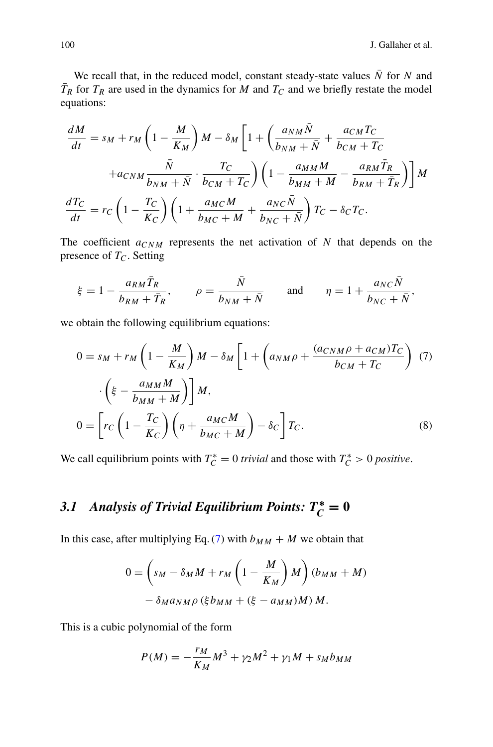We recall that, in the reduced model, constant steady-state values  $\overline{N}$  for *N* and  $T_R$  for  $T_R$  are used in the dynamics for *M* and  $T_C$  and we briefly restate the model equations:

$$
\frac{dM}{dt} = s_M + r_M \left( 1 - \frac{M}{K_M} \right) M - \delta_M \left[ 1 + \left( \frac{a_{NM} \bar{N}}{b_{NM} + \bar{N}} + \frac{a_{CM} T_C}{b_{CM} + T_C} \right) + a_{CM} \frac{\bar{N}}{b_{NM} + \bar{N}} \cdot \frac{T_C}{b_{CM} + T_C} \right) \left( 1 - \frac{a_{MM} M}{b_{MM} + M} - \frac{a_{RM} \bar{T}_R}{b_{RM} + \bar{T}_R} \right) \right] M
$$
  

$$
\frac{dT_C}{dt} = r_C \left( 1 - \frac{T_C}{K_C} \right) \left( 1 + \frac{a_{MC} M}{b_{MC} + M} + \frac{a_{NC} \bar{N}}{b_{NC} + \bar{N}} \right) T_C - \delta_C T_C.
$$

The coefficient  $a_{CNM}$  represents the net activation of  $N$  that depends on the presence of  $T_C$ . Setting

$$
\xi = 1 - \frac{a_{RM}\bar{T}_R}{b_{RM} + \bar{T}_R}
$$
,  $\rho = \frac{\bar{N}}{b_{NM} + \bar{N}}$  and  $\eta = 1 + \frac{a_{NC}\bar{N}}{b_{NC} + \bar{N}}$ ,

we obtain the following equilibrium equations:

<span id="page-11-0"></span>
$$
0 = s_M + r_M \left( 1 - \frac{M}{K_M} \right) M - \delta_M \left[ 1 + \left( a_{NM} \rho + \frac{(a_{CMM} \rho + a_{CM})T_C}{b_{CM} + T_C} \right) (7) \right]
$$

$$
\cdot \left( \xi - \frac{a_{MM} M}{b_{MM} + M} \right) \right] M,
$$

$$
0 = \left[ r_C \left( 1 - \frac{T_C}{K_C} \right) \left( \eta + \frac{a_{MC} M}{b_{MC} + M} \right) - \delta_C \right] T_C.
$$
 (8)

We call equilibrium points with  $T_C^* = 0$  *trivial* and those with  $T_C^* > 0$  *positive*.

## *3.1* Analysis of Trivial Equilibrium Points:  $T_C^* = 0$

In this case, after multiplying Eq. [\(7\)](#page-11-0) with  $b_{MM} + M$  we obtain that

$$
0 = \left(s_M - \delta_M M + r_M \left(1 - \frac{M}{K_M}\right)M\right)(b_{MM} + M) - \delta_M a_{NM} \rho (\xi b_{MM} + (\xi - a_{MM})M) M.
$$

This is a cubic polynomial of the form

$$
P(M) = -\frac{r_M}{K_M}M^3 + \gamma_2 M^2 + \gamma_1 M + s_M b_{MM}
$$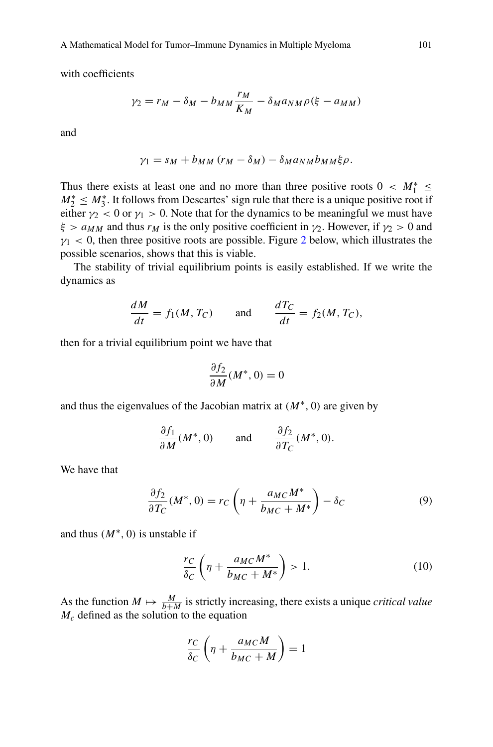with coefficients

$$
\gamma_2 = r_M - \delta_M - b_{MM} \frac{r_M}{K_M} - \delta_M a_{NM} \rho(\xi - a_{MM})
$$

and

$$
\gamma_1 = s_M + b_{MM} (r_M - \delta_M) - \delta_M a_{NM} b_{MM} \xi \rho.
$$

Thus there exists at least one and no more than three positive roots  $0 < M_1^* \leq$  $M_2^* \leq M_3^*$ . It follows from Descartes' sign rule that there is a unique positive root if either  $\gamma_2$  < 0 or  $\gamma_1$  > 0. Note that for the dynamics to be meaningful we must have *ξ* >  $a_{MM}$  and thus  $r_M$  is the only positive coefficient in  $\gamma_2$ . However, if  $\gamma_2 > 0$  and  $\gamma_1$  < 0, then three positive roots are possible. Figure [2](#page-19-0) below, which illustrates the possible scenarios, shows that this is viable.

The stability of trivial equilibrium points is easily established. If we write the dynamics as

$$
\frac{dM}{dt} = f_1(M, T_C) \quad \text{and} \quad \frac{dT_C}{dt} = f_2(M, T_C),
$$

then for a trivial equilibrium point we have that

$$
\frac{\partial f_2}{\partial M}(M^*,0) = 0
$$

and thus the eigenvalues of the Jacobian matrix at  $(M^*, 0)$  are given by

$$
\frac{\partial f_1}{\partial M}(M^*,0) \quad \text{and} \quad \frac{\partial f_2}{\partial T_C}(M^*,0).
$$

We have that

$$
\frac{\partial f_2}{\partial T_C}(M^*,0) = r_C \left(\eta + \frac{a_{MC}M^*}{b_{MC} + M^*}\right) - \delta_C \tag{9}
$$

and thus *(M*∗*,* 0*)* is unstable if

$$
\frac{r_C}{\delta_C} \left( \eta + \frac{a_{MC} M^*}{b_{MC} + M^*} \right) > 1. \tag{10}
$$

As the function  $M \mapsto \frac{M}{b+M}$  is strictly increasing, there exists a unique *critical value Mc* defined as the solution to the equation

$$
\frac{r_C}{\delta_C} \left( \eta + \frac{a_{MC} M}{b_{MC} + M} \right) = 1
$$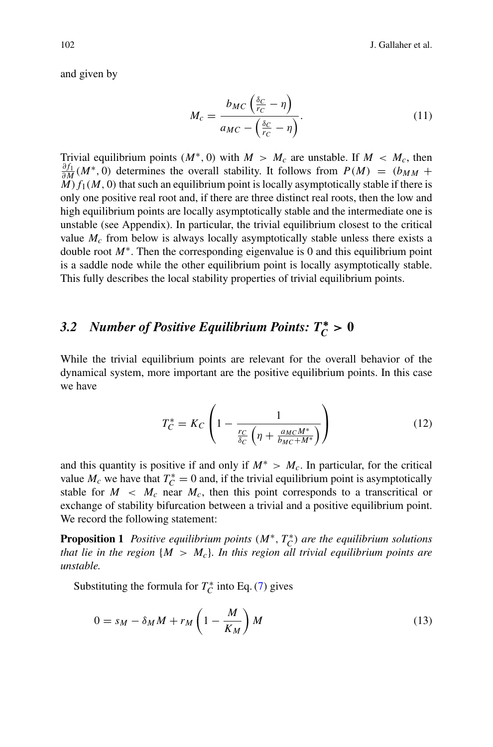and given by

$$
M_c = \frac{b_{MC} \left(\frac{\delta_C}{r_C} - \eta\right)}{a_{MC} - \left(\frac{\delta_C}{r_C} - \eta\right)}.
$$
\n(11)

Trivial equilibrium points  $(M^*, 0)$  with  $M > M_c$  are unstable. If  $M < M_c$ , then  $\frac{\partial f_1}{\partial M}(M^*,0)$  determines the overall stability. It follows from  $P(M) = (b_{MM} + b_{MM})$  $M$   $f_1(M, 0)$  that such an equilibrium point is locally asymptotically stable if there is only one positive real root and, if there are three distinct real roots, then the low and high equilibrium points are locally asymptotically stable and the intermediate one is unstable (see Appendix). In particular, the trivial equilibrium closest to the critical value  $M_c$  from below is always locally asymptotically stable unless there exists a double root *M*∗. Then the corresponding eigenvalue is 0 and this equilibrium point is a saddle node while the other equilibrium point is locally asymptotically stable. This fully describes the local stability properties of trivial equilibrium points.

## **3.2** Number of Positive Equilibrium Points:  $T_C^* > 0$

While the trivial equilibrium points are relevant for the overall behavior of the dynamical system, more important are the positive equilibrium points. In this case we have

$$
T_C^* = K_C \left( 1 - \frac{1}{\frac{r_C}{\delta_C} \left( \eta + \frac{a_{MC} M^*}{b_{MC} + M^*} \right)} \right) \tag{12}
$$

and this quantity is positive if and only if  $M^* > M_c$ . In particular, for the critical value  $M_c$  we have that  $T_c^* = 0$  and, if the trivial equilibrium point is asymptotically stable for  $M < M_c$  near  $M_c$ , then this point corresponds to a transcritical or exchange of stability bifurcation between a trivial and a positive equilibrium point. We record the following statement:

**Proposition 1** Positive equilibrium points  $(M^*, T^*_{\mathcal{C}})$  are the equilibrium solutions *that lie in the region* {*M>Mc*}*. In this region all trivial equilibrium points are unstable.*

Substituting the formula for  $T_C^*$  into Eq. [\(7\)](#page-11-0) gives

<span id="page-13-0"></span>
$$
0 = s_M - \delta_M M + r_M \left( 1 - \frac{M}{K_M} \right) M \tag{13}
$$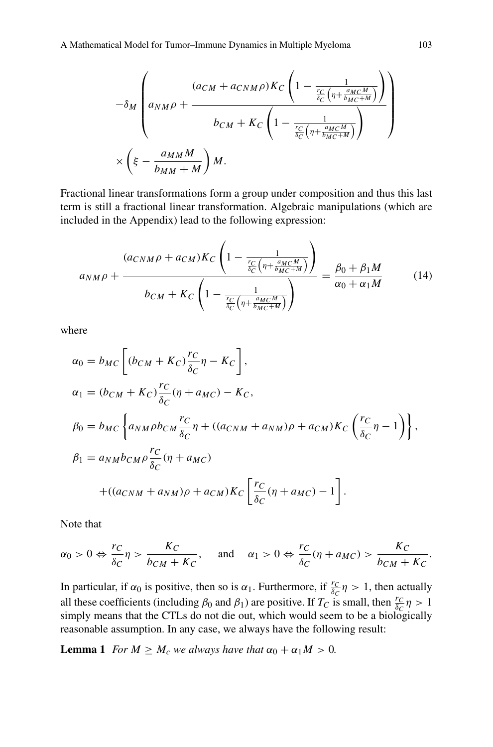$$
-\delta_M\left(a_{NM}\rho+\frac{(a_{CM}+a_{CNM}\rho)K_C\left(1-\frac{1}{\frac{r_C}{\delta_C}\left(\eta+\frac{a_{MCM}}{b_{MC}+M}\right)}\right)}{b_{CM}+K_C\left(1-\frac{1}{\frac{r_C}{\delta_C}\left(\eta+\frac{a_{MCM}}{b_{MC}+M}\right)}\right)}\right)\\\times\left(\xi-\frac{a_{MM}M}{b_{MM}+M}\right)M.
$$

Fractional linear transformations form a group under composition and thus this last term is still a fractional linear transformation. Algebraic manipulations (which are included in the Appendix) lead to the following expression:

<span id="page-14-0"></span>
$$
(a_{CNM}\rho + a_{CM})K_C \left(1 - \frac{1}{\frac{r_C}{\delta_C} \left(\eta + \frac{a_{MC}M}{b_{MC} + M}\right)}\right)} = \frac{\beta_0 + \beta_1 M}{\alpha_0 + \alpha_1 M} \tag{14}
$$
\n
$$
b_{CM} + K_C \left(1 - \frac{1}{\frac{r_C}{\delta_C} \left(\eta + \frac{a_{MC}M}{b_{MC} + M}\right)}\right)
$$

where

$$
\alpha_0 = b_{MC} \left[ (b_{CM} + K_C) \frac{r_C}{\delta_C} \eta - K_C \right],
$$
  
\n
$$
\alpha_1 = (b_{CM} + K_C) \frac{r_C}{\delta_C} (\eta + a_{MC}) - K_C,
$$
  
\n
$$
\beta_0 = b_{MC} \left\{ a_{NM} \rho b_{CM} \frac{r_C}{\delta_C} \eta + ((a_{CNM} + a_{NM})\rho + a_{CM}) K_C \left( \frac{r_C}{\delta_C} \eta - 1 \right) \right\},
$$
  
\n
$$
\beta_1 = a_{NM} b_{CM} \rho \frac{r_C}{\delta_C} (\eta + a_{MC})
$$
  
\n
$$
+ ((a_{CNM} + a_{NM})\rho + a_{CM}) K_C \left[ \frac{r_C}{\delta_C} (\eta + a_{MC}) - 1 \right].
$$

Note that

$$
\alpha_0 > 0 \Leftrightarrow \frac{r_C}{\delta_C} \eta > \frac{K_C}{b_{CM} + K_C}
$$
, and  $\alpha_1 > 0 \Leftrightarrow \frac{r_C}{\delta_C} (\eta + a_{MC}) > \frac{K_C}{b_{CM} + K_C}$ .

In particular, if  $\alpha_0$  is positive, then so is  $\alpha_1$ . Furthermore, if  $\frac{r_C}{\delta_C} \eta > 1$ , then actually all these coefficients (including  $\beta_0$  and  $\beta_1$ ) are positive. If  $T_C$  is small, then  $\frac{r_C}{\delta_C} \eta > 1$ simply means that the CTLs do not die out, which would seem to be a biologically reasonable assumption. In any case, we always have the following result:

**Lemma 1** *For*  $M \geq M_c$  *we always have that*  $\alpha_0 + \alpha_1 M > 0$ *.*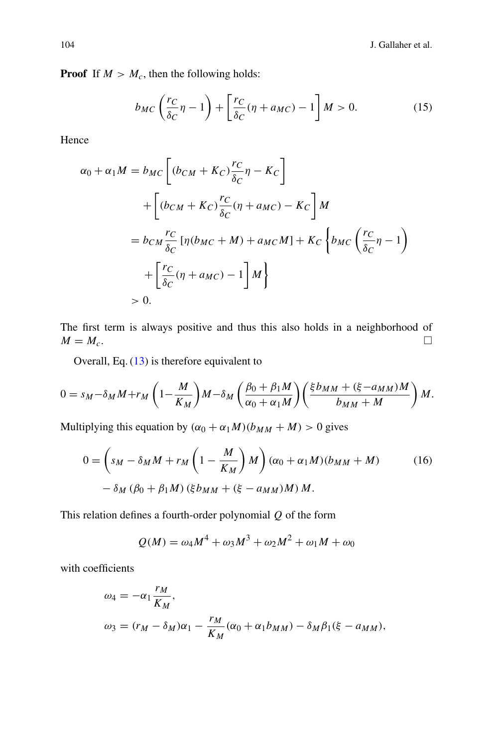104 J. Gallaher et al.

**Proof** If  $M > M_c$ , then the following holds:

$$
b_{MC}\left(\frac{r_C}{\delta_C}\eta - 1\right) + \left[\frac{r_C}{\delta_C}(\eta + a_{MC}) - 1\right]M > 0. \tag{15}
$$

Hence

$$
\alpha_0 + \alpha_1 M = b_{MC} \left[ (b_{CM} + K_C) \frac{r_C}{\delta_C} \eta - K_C \right]
$$
  
+ 
$$
\left[ (b_{CM} + K_C) \frac{r_C}{\delta_C} (\eta + a_{MC}) - K_C \right] M
$$
  
= 
$$
b_{CM} \frac{r_C}{\delta_C} [\eta (b_{MC} + M) + a_{MC} M] + K_C \left\{ b_{MC} \left( \frac{r_C}{\delta_C} \eta - 1 \right) + \left[ \frac{r_C}{\delta_C} (\eta + a_{MC}) - 1 \right] M \right\}
$$
  
> 0.

The first term is always positive and thus this also holds in a neighborhood of  $M = M_c$ .

Overall, Eq. [\(13\)](#page-13-0) is therefore equivalent to

$$
0 = s_M - \delta_M M + r_M \left( 1 - \frac{M}{K_M} \right) M - \delta_M \left( \frac{\beta_0 + \beta_1 M}{\alpha_0 + \alpha_1 M} \right) \left( \frac{\xi b_{MM} + (\xi - a_{MM})M}{b_{MM} + M} \right) M.
$$

Multiplying this equation by  $(\alpha_0 + \alpha_1 M)(b_{MM} + M) > 0$  gives

$$
0 = \left(s_M - \delta_M M + r_M \left(1 - \frac{M}{K_M}\right)M\right) (\alpha_0 + \alpha_1 M)(b_{MM} + M) \tag{16}
$$

$$
- \delta_M (\beta_0 + \beta_1 M) (\xi b_{MM} + (\xi - a_{MM})M) M.
$$

This relation defines a fourth-order polynomial *Q* of the form

$$
Q(M) = \omega_4 M^4 + \omega_3 M^3 + \omega_2 M^2 + \omega_1 M + \omega_0
$$

with coefficients

$$
\omega_4 = -\alpha_1 \frac{r_M}{K_M},
$$
  
\n
$$
\omega_3 = (r_M - \delta_M)\alpha_1 - \frac{r_M}{K_M}(\alpha_0 + \alpha_1 b_{MM}) - \delta_M \beta_1 (\xi - a_{MM}),
$$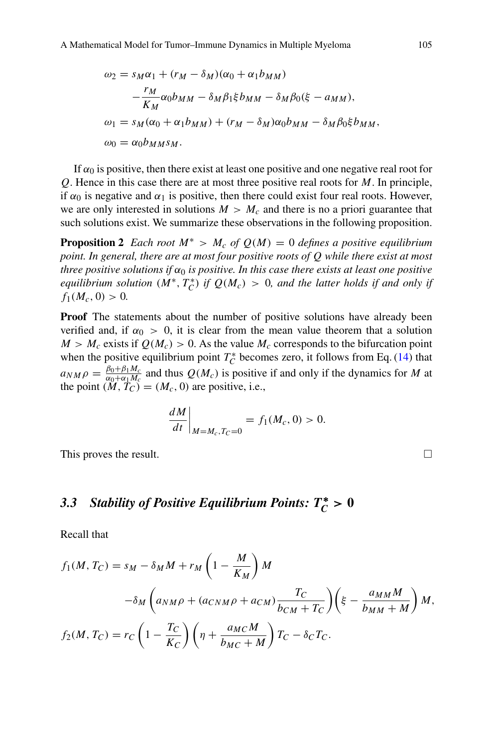$$
\omega_2 = s_M \alpha_1 + (r_M - \delta_M)(\alpha_0 + \alpha_1 b_{MM})
$$
  

$$
- \frac{r_M}{K_M} \alpha_0 b_{MM} - \delta_M \beta_1 \xi b_{MM} - \delta_M \beta_0 (\xi - a_{MM}),
$$
  

$$
\omega_1 = s_M (\alpha_0 + \alpha_1 b_{MM}) + (r_M - \delta_M) \alpha_0 b_{MM} - \delta_M \beta_0 \xi b_{MM},
$$
  

$$
\omega_0 = \alpha_0 b_{MM} s_M.
$$

If  $\alpha_0$  is positive, then there exist at least one positive and one negative real root for *Q*. Hence in this case there are at most three positive real roots for *M*. In principle, if  $\alpha_0$  is negative and  $\alpha_1$  is positive, then there could exist four real roots. However, we are only interested in solutions  $M > M_c$  and there is no a priori guarantee that such solutions exist. We summarize these observations in the following proposition.

**Proposition 2** *Each root*  $M^*$  >  $M_c$  *of*  $Q(M) = 0$  *defines a positive equilibrium point. In general, there are at most four positive roots of Q while there exist at most three positive solutions if*  $\alpha_0$  *is positive. In this case there exists at least one positive equilibrium solution*  $(M^*, T_C^*)$  *if*  $Q(M_c) > 0$ , and the latter holds if and only if  $f_1(M_c, 0) > 0.$ 

**Proof** The statements about the number of positive solutions have already been verified and, if  $\alpha_0 > 0$ , it is clear from the mean value theorem that a solution  $M > M_c$  exists if  $Q(M_c) > 0$ . As the value  $M_c$  corresponds to the bifurcation point when the positive equilibrium point  $T_C^*$  becomes zero, it follows from Eq. [\(14\)](#page-14-0) that  $a_{NM}\rho = \frac{\beta_0 + \beta_1 M_c}{\omega_0 + \alpha_1 M_c}$  and thus  $Q(M_c)$  is positive if and only if the dynamics for *M* at the point  $(\tilde{M}, \tilde{T}_C) = (M_c, 0)$  are positive, i.e.,

$$
\left. \frac{dM}{dt} \right|_{M=M_c, T_C=0} = f_1(M_c, 0) > 0.
$$

This proves the result.  $\Box$ 

## 3.3 Stability of Positive Equilibrium Points:  $T_C^* > 0$

Recall that

$$
f_1(M, T_C) = s_M - \delta_M M + r_M \left( 1 - \frac{M}{K_M} \right) M
$$
  

$$
- \delta_M \left( a_{NM} \rho + (a_{CNM} \rho + a_{CM}) \frac{T_C}{b_{CM} + T_C} \right) \left( \xi - \frac{a_{MM} M}{b_{MM} + M} \right) M,
$$
  

$$
f_2(M, T_C) = r_C \left( 1 - \frac{T_C}{K_C} \right) \left( \eta + \frac{a_{MC} M}{b_{MC} + M} \right) T_C - \delta_C T_C.
$$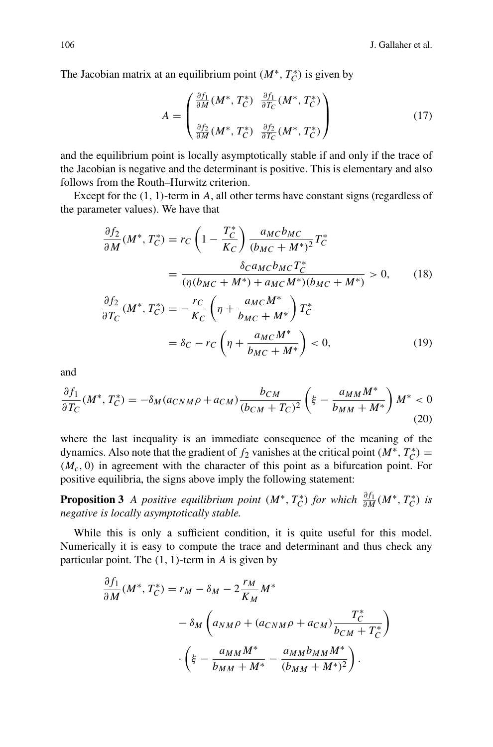The Jacobian matrix at an equilibrium point  $(M^*, T^*_C)$  is given by

$$
A = \begin{pmatrix} \frac{\partial f_1}{\partial M} (M^*, T_C^*) & \frac{\partial f_1}{\partial T_C} (M^*, T_C^*) \\ \frac{\partial f_2}{\partial M} (M^*, T_C^*) & \frac{\partial f_2}{\partial T_C} (M^*, T_C^*) \end{pmatrix}
$$
(17)

and the equilibrium point is locally asymptotically stable if and only if the trace of the Jacobian is negative and the determinant is positive. This is elementary and also follows from the Routh–Hurwitz criterion.

Except for the *(*1*,* 1*)*-term in *A*, all other terms have constant signs (regardless of the parameter values). We have that

$$
\frac{\partial f_2}{\partial M}(M^*, T_C^*) = r_C \left(1 - \frac{T_C^*}{K_C}\right) \frac{a_{MC}b_{MC}}{(b_{MC} + M^*)^2} T_C^*
$$

$$
= \frac{\delta_{C}a_{MC}b_{MC}T_C^*}{(\eta(b_{MC} + M^*) + a_{MC}M^*)(b_{MC} + M^*)} > 0, \qquad (18)
$$

$$
\frac{\partial f_2}{\partial T_C}(M^*, T_C^*) = -\frac{r_C}{K_C} \left(\eta + \frac{a_{MC}M^*}{b_{MC} + M^*}\right) T_C^*
$$

$$
= \delta_C - r_C \left(\eta + \frac{a_{MC}M^*}{b_{MC} + M^*}\right) < 0, \qquad (19)
$$

and

$$
\frac{\partial f_1}{\partial T_C}(M^*, T_C^*) = -\delta_M(a_{CNM}\rho + a_{CM})\frac{b_{CM}}{(b_{CM} + T_C)^2} \left(\xi - \frac{a_{MM}M^*}{b_{MM} + M^*}\right)M^* < 0\tag{20}
$$

where the last inequality is an immediate consequence of the meaning of the dynamics. Also note that the gradient of  $f_2$  vanishes at the critical point  $(M^*, T_C^*)$  $(M<sub>c</sub>, 0)$  in agreement with the character of this point as a bifurcation point. For positive equilibria, the signs above imply the following statement:

**Proposition 3** *A positive equilibrium point*  $(M^*, T_C^*)$  *for which*  $\frac{\partial f_1}{\partial M}(M^*, T_C^*)$  *is negative is locally asymptotically stable.*

While this is only a sufficient condition, it is quite useful for this model. Numerically it is easy to compute the trace and determinant and thus check any particular point. The *(*1*,* 1*)*-term in *A* is given by

$$
\frac{\partial f_1}{\partial M}(M^*, T_C^*) = r_M - \delta_M - 2\frac{r_M}{K_M}M^*
$$

$$
- \delta_M \left(a_{NM}\rho + (a_{CNM}\rho + a_{CM})\frac{T_C^*}{b_{CM} + T_C^*}\right)
$$

$$
\cdot \left(\xi - \frac{a_{MM}M^*}{b_{MM} + M^*} - \frac{a_{MM}b_{MM}M^*}{(b_{MM} + M^*)^2}\right).
$$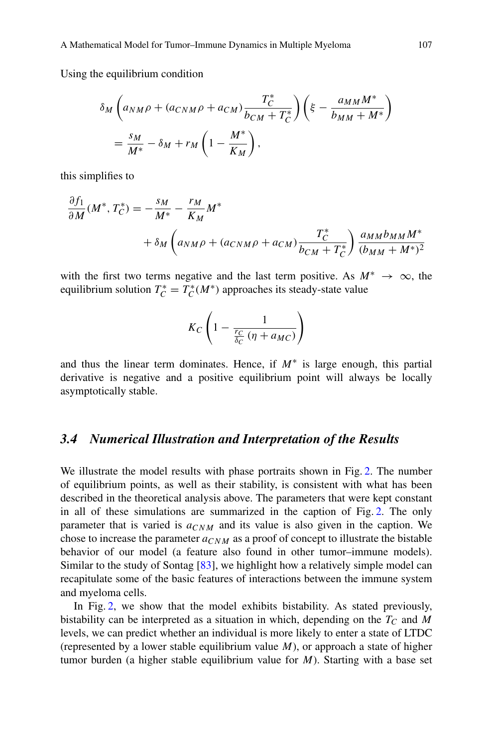Using the equilibrium condition

$$
\delta_M \left( a_{NM} \rho + (a_{CNM} \rho + a_{CM}) \frac{T_C^*}{b_{CM} + T_C^*} \right) \left( \xi - \frac{a_{MM} M^*}{b_{MM} + M^*} \right)
$$
  
=  $\frac{s_M}{M^*} - \delta_M + r_M \left( 1 - \frac{M^*}{K_M} \right),$ 

this simplifies to

$$
\frac{\partial f_1}{\partial M}(M^*, T_C^*) = -\frac{s_M}{M^*} - \frac{r_M}{K_M}M^*
$$
  
+ 
$$
\delta_M \left( a_{NM} \rho + (a_{CNM} \rho + a_{CM}) \frac{T_C^*}{b_{CM} + T_C^*} \right) \frac{a_{MM} b_{MM} M^*}{(b_{MM} + M^*)^2}
$$

with the first two terms negative and the last term positive. As  $M^* \to \infty$ , the equilibrium solution  $T_C^* = T_C^*(M^*)$  approaches its steady-state value

$$
K_C \left( 1 - \frac{1}{\frac{r_C}{\delta_C} \left( \eta + a_{MC} \right)} \right)
$$

and thus the linear term dominates. Hence, if  $M^*$  is large enough, this partial derivative is negative and a positive equilibrium point will always be locally asymptotically stable.

#### *3.4 Numerical Illustration and Interpretation of the Results*

We illustrate the model results with phase portraits shown in Fig. [2.](#page-19-0) The number of equilibrium points, as well as their stability, is consistent with what has been described in the theoretical analysis above. The parameters that were kept constant in all of these simulations are summarized in the caption of Fig. [2.](#page-19-0) The only parameter that is varied is  $a_{CNM}$  and its value is also given in the caption. We chose to increase the parameter  $a_{CNM}$  as a proof of concept to illustrate the bistable behavior of our model (a feature also found in other tumor–immune models). Similar to the study of Sontag  $[83]$ , we highlight how a relatively simple model can recapitulate some of the basic features of interactions between the immune system and myeloma cells.

In Fig. [2,](#page-19-0) we show that the model exhibits bistability. As stated previously, bistability can be interpreted as a situation in which, depending on the  $T_C$  and M levels, we can predict whether an individual is more likely to enter a state of LTDC (represented by a lower stable equilibrium value *M*), or approach a state of higher tumor burden (a higher stable equilibrium value for *M*). Starting with a base set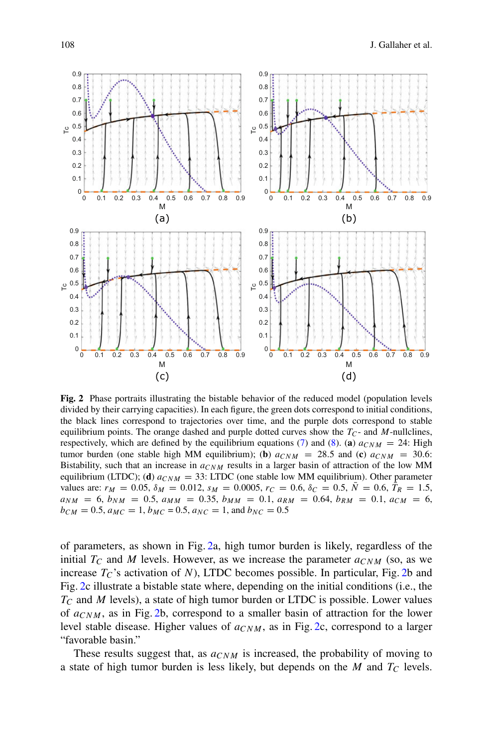

<span id="page-19-0"></span>**Fig. 2** Phase portraits illustrating the bistable behavior of the reduced model (population levels divided by their carrying capacities). In each figure, the green dots correspond to initial conditions, the black lines correspond to trajectories over time, and the purple dots correspond to stable equilibrium points. The orange dashed and purple dotted curves show the  $T_C$ - and *M*-nullclines, respectively, which are defined by the equilibrium equations [\(7\)](#page-11-0) and [\(8\)](#page-11-0). (**a**)  $a_{CNM} = 24$ : High tumor burden (one stable high MM equilibrium); (**b**)  $a_{CNM} = 28.5$  and (**c**)  $a_{CNM} = 30.6$ : Bistability, such that an increase in  $a_{CNM}$  results in a larger basin of attraction of the low MM equilibrium (LTDC); (**d**)  $a_{CNM} = 33$ : LTDC (one stable low MM equilibrium). Other parameter values are:  $r_M = 0.05$ ,  $\delta_M = 0.012$ ,  $s_M = 0.0005$ ,  $r_C = 0.6$ ,  $\delta_C = 0.5$ ,  $N = 0.6$ ,  $T_R = 1.5$ ,  $a_{NM} = 6, b_{NM} = 0.5, a_{MM} = 0.35, b_{MM} = 0.1, a_{RM} = 0.64, b_{RM} = 0.1, a_{CM} = 6,$  $b_{CM} = 0.5$ ,  $a_{MC} = 1$ ,  $b_{MC} = 0.5$ ,  $a_{NC} = 1$ , and  $b_{NC} = 0.5$ 

of parameters, as shown in Fig. [2a](#page-19-0), high tumor burden is likely, regardless of the initial  $T_C$  and M levels. However, as we increase the parameter  $a_{CNM}$  (so, as we increase  $T_{\rm C}$ 's activation of *N*), LTDC becomes possible. In particular, Fig. [2b](#page-19-0) and Fig. [2c](#page-19-0) illustrate a bistable state where, depending on the initial conditions (i.e., the  $T_C$  and *M* levels), a state of high tumor burden or LTDC is possible. Lower values of *aCNM*, as in Fig. [2b](#page-19-0), correspond to a smaller basin of attraction for the lower level stable disease. Higher values of  $a_{CNM}$ , as in Fig. [2c](#page-19-0), correspond to a larger "favorable basin."

These results suggest that, as  $a_{CNM}$  is increased, the probability of moving to a state of high tumor burden is less likely, but depends on the  $M$  and  $T_C$  levels.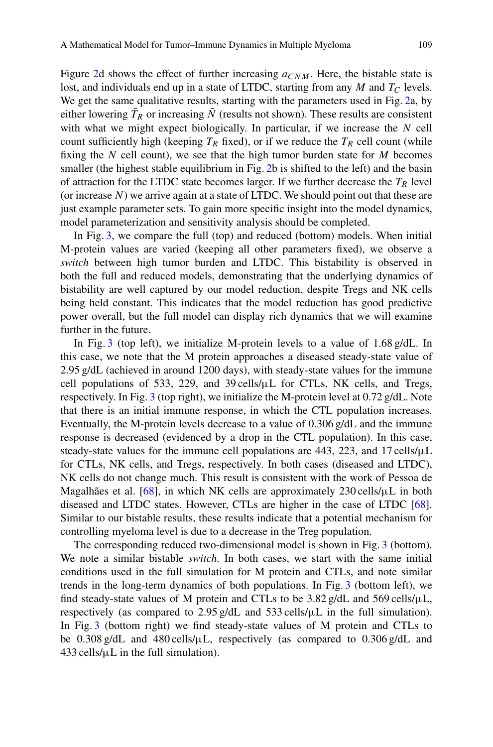Figure [2d](#page-19-0) shows the effect of further increasing  $a_{CNM}$ . Here, the bistable state is lost, and individuals end up in a state of LTDC, starting from any  $M$  and  $T_C$  levels. We get the same qualitative results, starting with the parameters used in Fig. [2a](#page-19-0), by either lowering  $T_R$  or increasing  $N$  (results not shown). These results are consistent with what we might expect biologically. In particular, if we increase the *N* cell count sufficiently high (keeping  $T_R$  fixed), or if we reduce the  $T_R$  cell count (while fixing the *N* cell count), we see that the high tumor burden state for *M* becomes smaller (the highest stable equilibrium in Fig. [2b](#page-19-0) is shifted to the left) and the basin of attraction for the LTDC state becomes larger. If we further decrease the  $T_R$  level (or increase *N*) we arrive again at a state of LTDC. We should point out that these are just example parameter sets. To gain more specific insight into the model dynamics, model parameterization and sensitivity analysis should be completed.

In Fig. [3,](#page-21-0) we compare the full (top) and reduced (bottom) models. When initial M-protein values are varied (keeping all other parameters fixed), we observe a *switch* between high tumor burden and LTDC. This bistability is observed in both the full and reduced models, demonstrating that the underlying dynamics of bistability are well captured by our model reduction, despite Tregs and NK cells being held constant. This indicates that the model reduction has good predictive power overall, but the full model can display rich dynamics that we will examine further in the future.

In Fig. [3](#page-21-0) (top left), we initialize M-protein levels to a value of  $1.68 \text{ g/dL}$ . In this case, we note that the M protein approaches a diseased steady-state value of 2.95 g/dL (achieved in around 1200 days), with steady-state values for the immune cell populations of 533, 229, and 39 cells/μL for CTLs, NK cells, and Tregs, respectively. In Fig. [3](#page-21-0) (top right), we initialize the M-protein level at 0.72 g/dL. Note that there is an initial immune response, in which the CTL population increases. Eventually, the M-protein levels decrease to a value of 0.306 g/dL and the immune response is decreased (evidenced by a drop in the CTL population). In this case, steady-state values for the immune cell populations are 443, 223, and 17 cells/μL for CTLs, NK cells, and Tregs, respectively. In both cases (diseased and LTDC), NK cells do not change much. This result is consistent with the work of Pessoa de Magalhães et al. [\[68\]](#page-31-11), in which NK cells are approximately  $230 \text{ cells/}\mu\text{L}$  in both diseased and LTDC states. However, CTLs are higher in the case of LTDC [\[68\]](#page-31-11). Similar to our bistable results, these results indicate that a potential mechanism for controlling myeloma level is due to a decrease in the Treg population.

The corresponding reduced two-dimensional model is shown in Fig. [3](#page-21-0) (bottom). We note a similar bistable *switch*. In both cases, we start with the same initial conditions used in the full simulation for M protein and CTLs, and note similar trends in the long-term dynamics of both populations. In Fig. [3](#page-21-0) (bottom left), we find steady-state values of M protein and CTLs to be  $3.82 \text{ g/dL}$  and  $569 \text{ cells/µL}$ , respectively (as compared to 2.95 g/dL and 533 cells/ $\mu$ L in the full simulation). In Fig. [3](#page-21-0) (bottom right) we find steady-state values of M protein and CTLs to be 0.308 g/dL and 480 cells/μL, respectively (as compared to 0.306 g/dL and  $433$  cells/ $\mu$ L in the full simulation).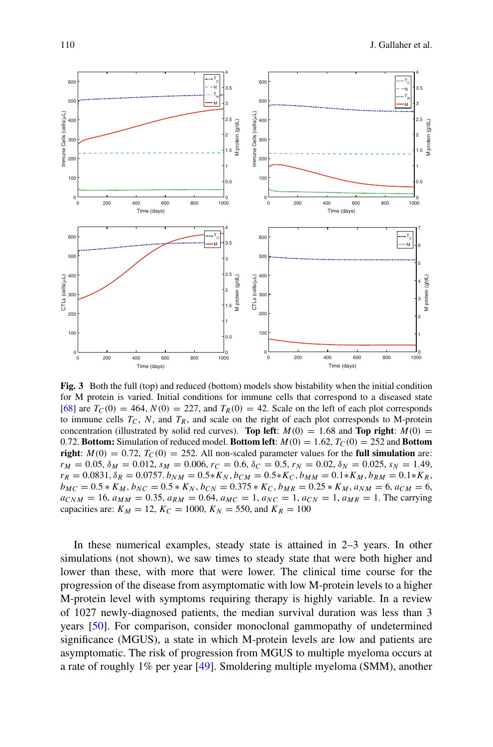

<span id="page-21-0"></span>**Fig. 3** Both the full (top) and reduced (bottom) models show bistability when the initial condition for M protein is varied. Initial conditions for immune cells that correspond to a diseased state [\[68\]](#page-31-11) are  $T_C(0) = 464$ ,  $N(0) = 227$ , and  $T_R(0) = 42$ . Scale on the left of each plot corresponds to immune cells  $T_c$ ,  $N$ , and  $T_R$ , and scale on the right of each plot corresponds to M-protein concentration (illustrated by solid red curves). **Top left**:  $M(0) = 1.68$  and **Top right**:  $M(0) =$ 0.72. **Bottom:** Simulation of reduced model. **Bottom left**:  $M(0) = 1.62$ ,  $T_C(0) = 252$  and **Bottom right**:  $M(0) = 0.72$ ,  $T_C(0) = 252$ . All non-scaled parameter values for the **full simulation** are:  $r_M = 0.05$ ,  $\delta_M = 0.012$ ,  $s_M = 0.006$ ,  $r_C = 0.6$ ,  $\delta_C = 0.5$ ,  $r_N = 0.02$ ,  $\delta_N = 0.025$ ,  $s_N = 1.49$ ,  $r_R = 0.0831, \delta_R = 0.0757. b_{NM} = 0.5*K_N, b_{CM} = 0.5*K_C, b_{MM} = 0.1*K_M, b_{RM} = 0.1*K_R$  $b_{MC} = 0.5 * K_M$ ,  $b_{NC} = 0.5 * K_N$ ,  $b_{CN} = 0.375 * K_C$ ,  $b_{MR} = 0.25 * K_M$ ,  $a_{NM} = 6$ ,  $a_{CM} = 6$ ,  $a_{CNM} = 16$ ,  $a_{MM} = 0.35$ ,  $a_{RM} = 0.64$ ,  $a_{MC} = 1$ ,  $a_{NC} = 1$ ,  $a_{CN} = 1$ ,  $a_{MR} = 1$ . The carrying capacities are:  $K_M = 12$ ,  $K_C = 1000$ ,  $K_N = 550$ , and  $K_R = 100$ 

In these numerical examples, steady state is attained in 2–3 years. In other simulations (not shown), we saw times to steady state that were both higher and lower than these, with more that were lower. The clinical time course for the progression of the disease from asymptomatic with low M-protein levels to a higher M-protein level with symptoms requiring therapy is highly variable. In a review of 1027 newly-diagnosed patients, the median survival duration was less than 3 years [\[50\]](#page-31-16). For comparison, consider monoclonal gammopathy of undetermined significance (MGUS), a state in which M-protein levels are low and patients are asymptomatic. The risk of progression from MGUS to multiple myeloma occurs at a rate of roughly 1% per year [\[49\]](#page-31-17). Smoldering multiple myeloma (SMM), another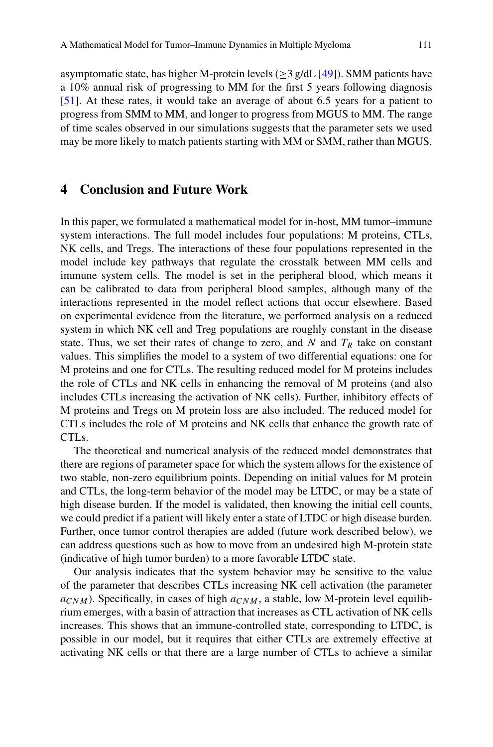asymptomatic state, has higher M-protein levels ( $>$ 3 g/dL [\[49\]](#page-31-17)). SMM patients have a 10% annual risk of progressing to MM for the first 5 years following diagnosis [\[51\]](#page-31-18). At these rates, it would take an average of about 6.5 years for a patient to progress from SMM to MM, and longer to progress from MGUS to MM. The range of time scales observed in our simulations suggests that the parameter sets we used may be more likely to match patients starting with MM or SMM, rather than MGUS.

#### **4 Conclusion and Future Work**

In this paper, we formulated a mathematical model for in-host, MM tumor–immune system interactions. The full model includes four populations: M proteins, CTLs, NK cells, and Tregs. The interactions of these four populations represented in the model include key pathways that regulate the crosstalk between MM cells and immune system cells. The model is set in the peripheral blood, which means it can be calibrated to data from peripheral blood samples, although many of the interactions represented in the model reflect actions that occur elsewhere. Based on experimental evidence from the literature, we performed analysis on a reduced system in which NK cell and Treg populations are roughly constant in the disease state. Thus, we set their rates of change to zero, and N and  $T_R$  take on constant values. This simplifies the model to a system of two differential equations: one for M proteins and one for CTLs. The resulting reduced model for M proteins includes the role of CTLs and NK cells in enhancing the removal of M proteins (and also includes CTLs increasing the activation of NK cells). Further, inhibitory effects of M proteins and Tregs on M protein loss are also included. The reduced model for CTLs includes the role of M proteins and NK cells that enhance the growth rate of CTLs.

The theoretical and numerical analysis of the reduced model demonstrates that there are regions of parameter space for which the system allows for the existence of two stable, non-zero equilibrium points. Depending on initial values for M protein and CTLs, the long-term behavior of the model may be LTDC, or may be a state of high disease burden. If the model is validated, then knowing the initial cell counts, we could predict if a patient will likely enter a state of LTDC or high disease burden. Further, once tumor control therapies are added (future work described below), we can address questions such as how to move from an undesired high M-protein state (indicative of high tumor burden) to a more favorable LTDC state.

Our analysis indicates that the system behavior may be sensitive to the value of the parameter that describes CTLs increasing NK cell activation (the parameter  $a_{CNM}$ ). Specifically, in cases of high  $a_{CNM}$ , a stable, low M-protein level equilibrium emerges, with a basin of attraction that increases as CTL activation of NK cells increases. This shows that an immune-controlled state, corresponding to LTDC, is possible in our model, but it requires that either CTLs are extremely effective at activating NK cells or that there are a large number of CTLs to achieve a similar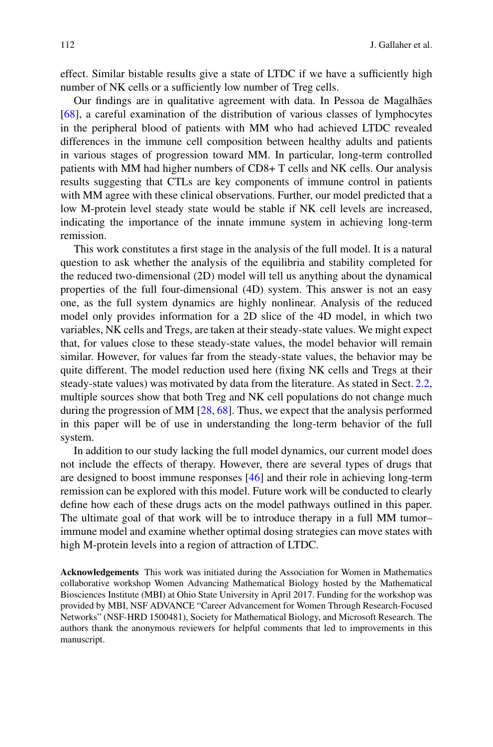effect. Similar bistable results give a state of LTDC if we have a sufficiently high number of NK cells or a sufficiently low number of Treg cells.

Our findings are in qualitative agreement with data. In Pessoa de Magalhães [\[68\]](#page-31-11), a careful examination of the distribution of various classes of lymphocytes in the peripheral blood of patients with MM who had achieved LTDC revealed differences in the immune cell composition between healthy adults and patients in various stages of progression toward MM. In particular, long-term controlled patients with MM had higher numbers of CD8+ T cells and NK cells. Our analysis results suggesting that CTLs are key components of immune control in patients with MM agree with these clinical observations. Further, our model predicted that a low M-protein level steady state would be stable if NK cell levels are increased, indicating the importance of the innate immune system in achieving long-term remission.

This work constitutes a first stage in the analysis of the full model. It is a natural question to ask whether the analysis of the equilibria and stability completed for the reduced two-dimensional (2D) model will tell us anything about the dynamical properties of the full four-dimensional (4D) system. This answer is not an easy one, as the full system dynamics are highly nonlinear. Analysis of the reduced model only provides information for a 2D slice of the 4D model, in which two variables, NK cells and Tregs, are taken at their steady-state values. We might expect that, for values close to these steady-state values, the model behavior will remain similar. However, for values far from the steady-state values, the behavior may be quite different. The model reduction used here (fixing NK cells and Tregs at their steady-state values) was motivated by data from the literature. As stated in Sect. [2.2,](#page-8-0) multiple sources show that both Treg and NK cell populations do not change much during the progression of MM [\[28,](#page-29-10) [68\]](#page-31-11). Thus, we expect that the analysis performed in this paper will be of use in understanding the long-term behavior of the full system.

In addition to our study lacking the full model dynamics, our current model does not include the effects of therapy. However, there are several types of drugs that are designed to boost immune responses [\[46\]](#page-30-1) and their role in achieving long-term remission can be explored with this model. Future work will be conducted to clearly define how each of these drugs acts on the model pathways outlined in this paper. The ultimate goal of that work will be to introduce therapy in a full MM tumor– immune model and examine whether optimal dosing strategies can move states with high M-protein levels into a region of attraction of LTDC.

**Acknowledgements** This work was initiated during the Association for Women in Mathematics collaborative workshop Women Advancing Mathematical Biology hosted by the Mathematical Biosciences Institute (MBI) at Ohio State University in April 2017. Funding for the workshop was provided by MBI, NSF ADVANCE "Career Advancement for Women Through Research-Focused Networks" (NSF-HRD 1500481), Society for Mathematical Biology, and Microsoft Research. The authors thank the anonymous reviewers for helpful comments that led to improvements in this manuscript.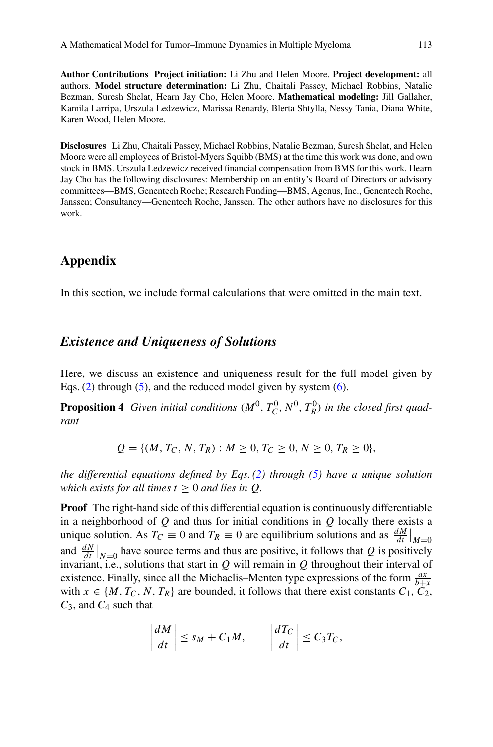**Author Contributions Project initiation:** Li Zhu and Helen Moore. **Project development:** all authors. **Model structure determination:** Li Zhu, Chaitali Passey, Michael Robbins, Natalie Bezman, Suresh Shelat, Hearn Jay Cho, Helen Moore. **Mathematical modeling:** Jill Gallaher, Kamila Larripa, Urszula Ledzewicz, Marissa Renardy, Blerta Shtylla, Nessy Tania, Diana White, Karen Wood, Helen Moore.

**Disclosures** Li Zhu, Chaitali Passey, Michael Robbins, Natalie Bezman, Suresh Shelat, and Helen Moore were all employees of Bristol-Myers Squibb (BMS) at the time this work was done, and own stock in BMS. Urszula Ledzewicz received financial compensation from BMS for this work. Hearn Jay Cho has the following disclosures: Membership on an entity's Board of Directors or advisory committees—BMS, Genentech Roche; Research Funding—BMS, Agenus, Inc., Genentech Roche, Janssen; Consultancy—Genentech Roche, Janssen. The other authors have no disclosures for this work.

### **Appendix**

In this section, we include formal calculations that were omitted in the main text.

#### *Existence and Uniqueness of Solutions*

Here, we discuss an existence and uniqueness result for the full model given by Eqs. [\(2\)](#page-5-0) through [\(5\)](#page-6-1), and the reduced model given by system [\(6\)](#page-9-0).

**Proposition 4** *Given initial conditions*  $(M^0, T^0_C, N^0, T^0_R)$  *in the closed first quadrant*

$$
Q = \{ (M, T_C, N, T_R) : M \ge 0, T_C \ge 0, N \ge 0, T_R \ge 0 \},\
$$

*the differential equations defined by Eqs. [\(2\)](#page-5-0) through [\(5\)](#page-6-1) have a unique solution which exists for all times*  $t \geq 0$  *and lies in Q*.

**Proof** The right-hand side of this differential equation is continuously differentiable in a neighborhood of *Q* and thus for initial conditions in *Q* locally there exists a unique solution. As  $T_C \equiv 0$  and  $T_R \equiv 0$  are equilibrium solutions and as  $\frac{dM}{dt}\Big|_{M=0}$ and  $\frac{dN}{dt}\big|_{N=0}$  have source terms and thus are positive, it follows that *Q* is positively invariant, i.e., solutions that start in *Q* will remain in *Q* throughout their interval of existence. Finally, since all the Michaelis–Menten type expressions of the form  $\frac{ax}{b+x}$ with  $x \in \{M, T_C, N, T_R\}$  are bounded, it follows that there exist constants  $C_1, C_2$ , *C*3, and *C*<sup>4</sup> such that

$$
\left|\frac{dM}{dt}\right| \leq s_M + C_1 M, \qquad \left|\frac{dT_C}{dt}\right| \leq C_3 T_C,
$$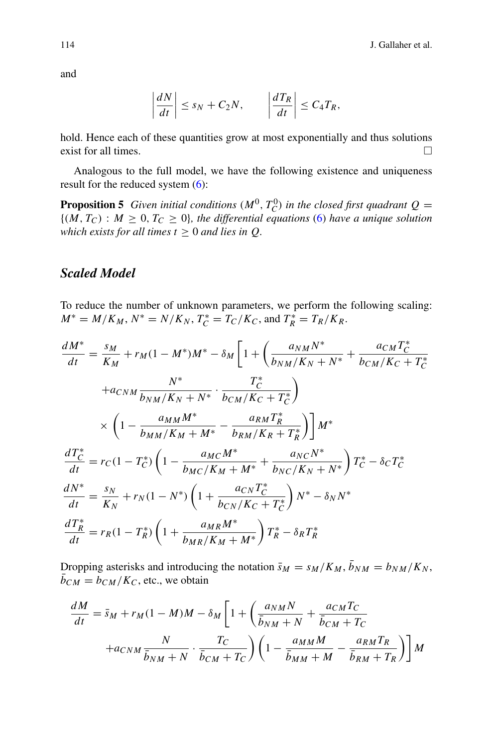$$
\left|\frac{dN}{dt}\right| \leq s_N + C_2 N, \qquad \left|\frac{dT_R}{dt}\right| \leq C_4 T_R,
$$

hold. Hence each of these quantities grow at most exponentially and thus solutions exist for all times.

Analogous to the full model, we have the following existence and uniqueness result for the reduced system [\(6\)](#page-9-0):

**Proposition 5** *Given initial conditions*  $(M^0, T_C^0)$  *in the closed first quadrant*  $Q =$  ${(M, T_C): M \ge 0, T_C \ge 0}$ *, the differential equations* [\(6\)](#page-9-0) *have a unique solution which exists for all times*  $t \geq 0$  *and lies in Q*.

#### *Scaled Model*

To reduce the number of unknown parameters, we perform the following scaling:  $M^* = M/K_M$ ,  $N^* = N/K_N$ ,  $T_C^* = T_C/K_C$ , and  $T_R^* = T_R/K_R$ .

$$
\frac{dM^*}{dt} = \frac{s_M}{K_M} + r_M(1 - M^*)M^* - \delta_M \left[ 1 + \left( \frac{a_{NM}N^*}{b_{NM}/K_N + N^*} + \frac{a_{CM}T_C^*}{b_{CM}/K_C + T_C^*} \right) \right. \\
\left. + a_{CNM} \frac{N^*}{b_{NM}/K_N + N^*} \cdot \frac{T_C^*}{b_{CM}/K_C + T_C^*} \right)
$$
\n
$$
\times \left( 1 - \frac{a_{MM}M^*}{b_{MM}/K_M + M^*} - \frac{a_{RM}T_R^*}{b_{RM}/K_R + T_R^*} \right) \right] M^*
$$
\n
$$
\frac{dT_C^*}{dt} = r_C(1 - T_C^*) \left( 1 - \frac{a_{MC}M^*}{b_{MC}/K_M + M^*} + \frac{a_{NC}N^*}{b_{NC}/K_N + N^*} \right) T_C^* - \delta_C T_C^*
$$
\n
$$
\frac{dN^*}{dt} = \frac{s_N}{K_N} + r_N(1 - N^*) \left( 1 + \frac{a_{CN}T_C^*}{b_{CN}/K_C + T_C^*} \right) N^* - \delta_N N^*
$$
\n
$$
\frac{dT_R^*}{dt} = r_R(1 - T_R^*) \left( 1 + \frac{a_{MR}M^*}{b_{MR}/K_M + M^*} \right) T_R^* - \delta_R T_R^*
$$

Dropping asterisks and introducing the notation  $\bar{s}_M = s_M/K_M$ ,  $b_{NM} = b_{NM}/K_N$ ,  $b_{CM} = b_{CM}/K_C$ , etc., we obtain

$$
\frac{dM}{dt} = \bar{s}_M + r_M(1 - M)M - \delta_M \left[ 1 + \left( \frac{a_{NM}N}{\bar{b}_{NM} + N} + \frac{a_{CM}T_C}{\bar{b}_{CM} + T_C} \right) + a_{CNM} \frac{N}{\bar{b}_{NM} + N} \cdot \frac{T_C}{\bar{b}_{CM} + T_C} \right) \left( 1 - \frac{a_{MM}M}{\bar{b}_{MM} + M} - \frac{a_{RM}T_R}{\bar{b}_{RM} + T_R} \right) \right] M
$$

and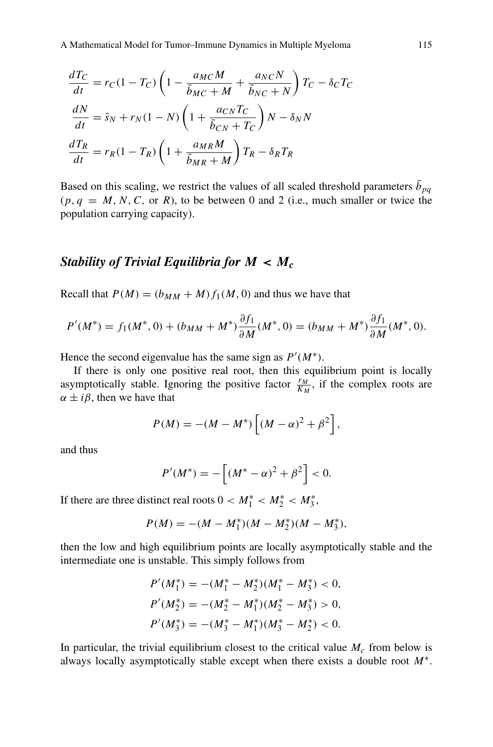$$
\frac{dT_C}{dt} = r_C(1 - T_C) \left( 1 - \frac{a_{MC}M}{\bar{b}_{MC} + M} + \frac{a_{NC}N}{\bar{b}_{NC} + N} \right) T_C - \delta_C T_C
$$

$$
\frac{dN}{dt} = \bar{s}_N + r_N(1 - N) \left( 1 + \frac{a_{CN}T_C}{\bar{b}_{CN} + T_C} \right) N - \delta_N N
$$

$$
\frac{dT_R}{dt} = r_R(1 - T_R) \left( 1 + \frac{a_{MR}M}{\bar{b}_{MR} + M} \right) T_R - \delta_R T_R
$$

Based on this scaling, we restrict the values of all scaled threshold parameters  $b_{pq}$  $(p, q = M, N, C,$  or R, to be between 0 and 2 (i.e., much smaller or twice the population carrying capacity).

### *Stability of Trivial Equilibria for*  $M < M_c$

Recall that  $P(M) = (b_{MM} + M) f_1(M, 0)$  and thus we have that

$$
P'(M^*) = f_1(M^*,0) + (b_{MM} + M^*) \frac{\partial f_1}{\partial M}(M^*,0) = (b_{MM} + M^*) \frac{\partial f_1}{\partial M}(M^*,0).
$$

Hence the second eigenvalue has the same sign as  $P'(M^*)$ .

If there is only one positive real root, then this equilibrium point is locally asymptotically stable. Ignoring the positive factor  $\frac{r_M}{K_M}$ , if the complex roots are  $\alpha \pm i\beta$ , then we have that

$$
P(M) = -(M - M^{*}) \left[ (M - \alpha)^{2} + \beta^{2} \right],
$$

and thus

$$
P'(M^*) = -\left[ (M^* - \alpha)^2 + \beta^2 \right] < 0.
$$

If there are three distinct real roots  $0 < M_1^* < M_2^* < M_3^*$ ,

$$
P(M) = -(M - M_1^*)(M - M_2^*)(M - M_3^*),
$$

then the low and high equilibrium points are locally asymptotically stable and the intermediate one is unstable. This simply follows from

$$
P'(M_1^*) = -(M_1^* - M_2^*)(M_1^* - M_3^*) < 0,
$$
\n
$$
P'(M_2^*) = -(M_2^* - M_1^*)(M_2^* - M_3^*) > 0,
$$
\n
$$
P'(M_3^*) = -(M_3^* - M_1^*)(M_3^* - M_2^*) < 0.
$$

In particular, the trivial equilibrium closest to the critical value  $M_c$  from below is always locally asymptotically stable except when there exists a double root *M*∗.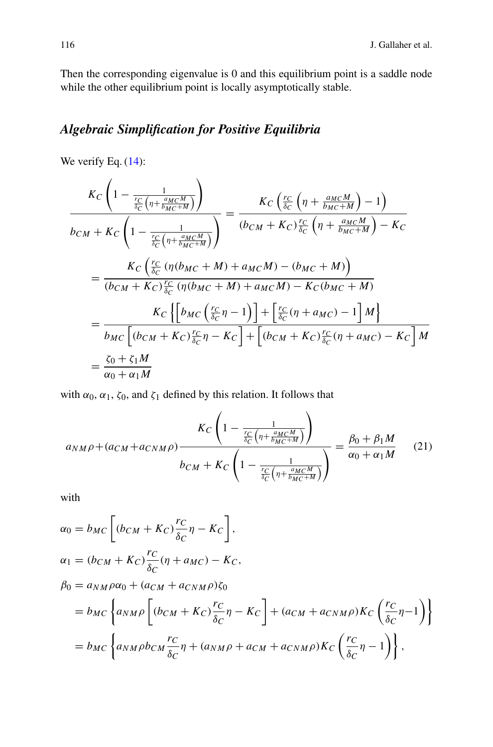Then the corresponding eigenvalue is 0 and this equilibrium point is a saddle node while the other equilibrium point is locally asymptotically stable.

### *Algebraic Simplification for Positive Equilibria*

We verify Eq.  $(14)$ :

$$
\frac{K_C \left(1 - \frac{1}{\frac{r_C}{\delta_C} \left(\eta + \frac{a_{M C} M}{b_{M C} + M}\right)}\right)}{b_{CM} + K_C \left(1 - \frac{1}{\frac{r_C}{\delta_C} \left(\eta + \frac{a_{M C} M}{b_{M C} + M}\right)}\right)} = \frac{K_C \left(\frac{r_C}{\delta_C} \left(\eta + \frac{a_{M C} M}{b_{M C} + M}\right) - 1\right)}{(b_{CM} + K_C) \frac{r_C}{\delta_C} \left(\eta + \frac{a_{M C} M}{b_{M C} + M}\right) - K_C}
$$
\n
$$
= \frac{K_C \left(\frac{r_C}{\delta_C} \left(\eta (b_{M C} + M) + a_{M C} M\right) - (b_{M C} + M)\right)}{(b_{CM} + K_C) \frac{r_C}{\delta_C} \left(\eta (b_{M C} + M) + a_{M C} M\right) - K_C (b_{M C} + M)}
$$
\n
$$
= \frac{K_C \left\{\left[b_{M C} \left(\frac{r_C}{\delta_C} \eta - 1\right)\right] + \left[\frac{r_C}{\delta_C} \left(\eta + a_{M C}\right) - 1\right] M\right\}}{b_{M C} \left[(b_{CM} + K_C) \frac{r_C}{\delta_C} \eta - K_C\right] + \left[(b_{CM} + K_C) \frac{r_C}{\delta_C} \left(\eta + a_{M C}\right) - K_C\right] M}
$$
\n
$$
= \frac{\zeta_0 + \zeta_1 M}{\alpha_0 + \alpha_1 M}
$$

with  $\alpha_0$ ,  $\alpha_1$ ,  $\zeta_0$ , and  $\zeta_1$  defined by this relation. It follows that

$$
a_{NMP} + (a_{CM} + a_{CNMP}) \frac{K_C \left(1 - \frac{1}{\frac{r_C}{\delta_C} \left(\eta + \frac{a_{MC}M}{b_{MC} + M}\right)}\right)}{b_{CM} + K_C \left(1 - \frac{1}{\frac{r_C}{\delta_C} \left(\eta + \frac{a_{MC}M}{b_{MC} + M}\right)}\right)} = \frac{\beta_0 + \beta_1 M}{\alpha_0 + \alpha_1 M} \tag{21}
$$

with

$$
\alpha_0 = b_{MC} \left[ (b_{CM} + K_C) \frac{r_C}{\delta_C} \eta - K_C \right],
$$
  
\n
$$
\alpha_1 = (b_{CM} + K_C) \frac{r_C}{\delta_C} (\eta + a_{MC}) - K_C,
$$
  
\n
$$
\beta_0 = a_{NM} \rho \alpha_0 + (a_{CM} + a_{CNM} \rho) \zeta_0
$$
  
\n
$$
= b_{MC} \left\{ a_{NM} \rho \left[ (b_{CM} + K_C) \frac{r_C}{\delta_C} \eta - K_C \right] + (a_{CM} + a_{CNM} \rho) K_C \left( \frac{r_C}{\delta_C} \eta - 1 \right) \right\}
$$
  
\n
$$
= b_{MC} \left\{ a_{NM} \rho b_{CM} \frac{r_C}{\delta_C} \eta + (a_{NM} \rho + a_{CM} + a_{CNM} \rho) K_C \left( \frac{r_C}{\delta_C} \eta - 1 \right) \right\},
$$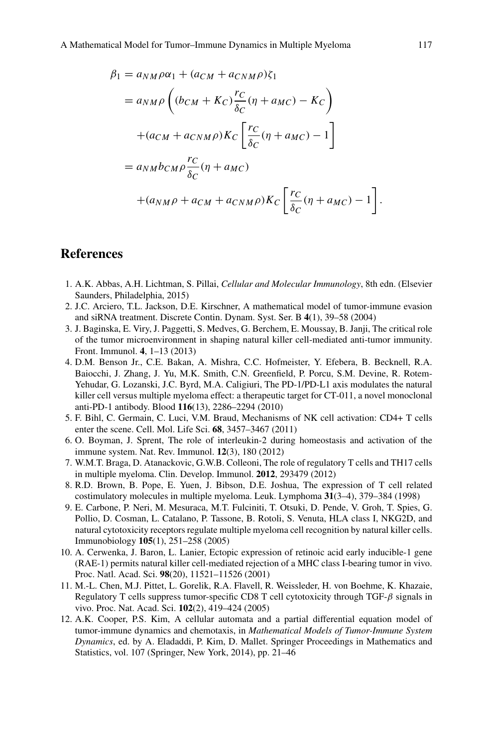$$
\beta_1 = a_{NM}\rho\alpha_1 + (a_{CM} + a_{CNM}\rho)\zeta_1
$$
  
=  $a_{NM}\rho \left( (b_{CM} + K_C) \frac{r_C}{\delta_C} (\eta + a_{MC}) - K_C \right)$   
+ $(a_{CM} + a_{CNM}\rho) K_C \left[ \frac{r_C}{\delta_C} (\eta + a_{MC}) - 1 \right]$   
=  $a_{NM}\rho_{CM}\rho \frac{r_C}{\delta_C} (\eta + a_{MC})$   
+ $(a_{NM}\rho + a_{CM} + a_{CNM}\rho) K_C \left[ \frac{r_C}{\delta_C} (\eta + a_{MC}) - 1 \right].$ 

#### **References**

- <span id="page-28-1"></span>1. A.K. Abbas, A.H. Lichtman, S. Pillai, *Cellular and Molecular Immunology*, 8th edn. (Elsevier Saunders, Philadelphia, 2015)
- <span id="page-28-9"></span>2. J.C. Arciero, T.L. Jackson, D.E. Kirschner, A mathematical model of tumor-immune evasion and siRNA treatment. Discrete Contin. Dynam. Syst. Ser. B **4**(1), 39–58 (2004)
- <span id="page-28-6"></span>3. J. Baginska, E. Viry, J. Paggetti, S. Medves, G. Berchem, E. Moussay, B. Janji, The critical role of the tumor microenvironment in shaping natural killer cell-mediated anti-tumor immunity. Front. Immunol. **4**, 1–13 (2013)
- <span id="page-28-5"></span>4. D.M. Benson Jr., C.E. Bakan, A. Mishra, C.C. Hofmeister, Y. Efebera, B. Becknell, R.A. Baiocchi, J. Zhang, J. Yu, M.K. Smith, C.N. Greenfield, P. Porcu, S.M. Devine, R. Rotem-Yehudar, G. Lozanski, J.C. Byrd, M.A. Caligiuri, The PD-1/PD-L1 axis modulates the natural killer cell versus multiple myeloma effect: a therapeutic target for CT-011, a novel monoclonal anti-PD-1 antibody. Blood **116**(13), 2286–2294 (2010)
- <span id="page-28-2"></span>5. F. Bihl, C. Germain, C. Luci, V.M. Braud, Mechanisms of NK cell activation: CD4+ T cells enter the scene. Cell. Mol. Life Sci. **68**, 3457–3467 (2011)
- <span id="page-28-3"></span>6. O. Boyman, J. Sprent, The role of interleukin-2 during homeostasis and activation of the immune system. Nat. Rev. Immunol. **12**(3), 180 (2012)
- <span id="page-28-8"></span>7. W.M.T. Braga, D. Atanackovic, G.W.B. Colleoni, The role of regulatory T cells and TH17 cells in multiple myeloma. Clin. Develop. Immunol. **2012**, 293479 (2012)
- 8. R.D. Brown, B. Pope, E. Yuen, J. Bibson, D.E. Joshua, The expression of T cell related costimulatory molecules in multiple myeloma. Leuk. Lymphoma **31**(3–4), 379–384 (1998)
- <span id="page-28-4"></span>9. E. Carbone, P. Neri, M. Mesuraca, M.T. Fulciniti, T. Otsuki, D. Pende, V. Groh, T. Spies, G. Pollio, D. Cosman, L. Catalano, P. Tassone, B. Rotoli, S. Venuta, HLA class I, NKG2D, and natural cytotoxicity receptors regulate multiple myeloma cell recognition by natural killer cells. Immunobiology **105**(1), 251–258 (2005)
- 10. A. Cerwenka, J. Baron, L. Lanier, Ectopic expression of retinoic acid early inducible-1 gene (RAE-1) permits natural killer cell-mediated rejection of a MHC class I-bearing tumor in vivo. Proc. Natl. Acad. Sci. **98**(20), 11521–11526 (2001)
- <span id="page-28-7"></span>11. M.-L. Chen, M.J. Pittet, L. Gorelik, R.A. Flavell, R. Weissleder, H. von Boehme, K. Khazaie, Regulatory T cells suppress tumor-specific CD8 T cell cytotoxicity through TGF-*β* signals in vivo. Proc. Nat. Acad. Sci. **102**(2), 419–424 (2005)
- <span id="page-28-0"></span>12. A.K. Cooper, P.S. Kim, A cellular automata and a partial differential equation model of tumor-immune dynamics and chemotaxis, in *Mathematical Models of Tumor-Immune System Dynamics*, ed. by A. Eladaddi, P. Kim, D. Mallet. Springer Proceedings in Mathematics and Statistics, vol. 107 (Springer, New York, 2014), pp. 21–46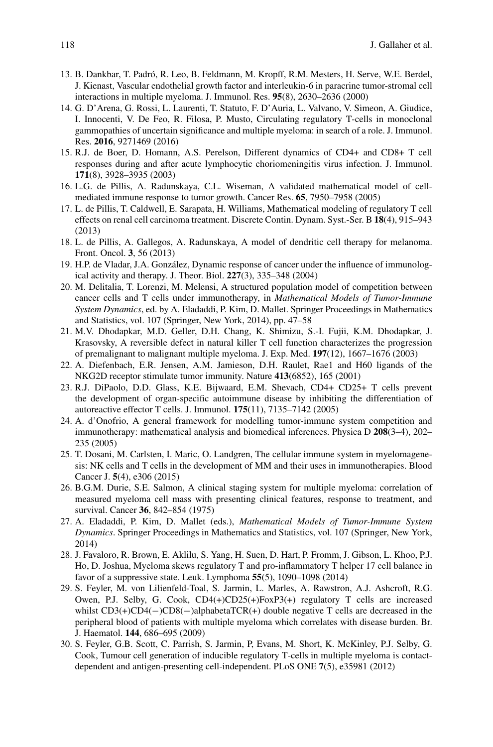- <span id="page-29-8"></span>13. B. Dankbar, T. Padró, R. Leo, B. Feldmann, M. Kropff, R.M. Mesters, H. Serve, W.E. Berdel, J. Kienast, Vascular endothelial growth factor and interleukin-6 in paracrine tumor-stromal cell interactions in multiple myeloma. J. Immunol. Res. **95**(8), 2630–2636 (2000)
- 14. G. D'Arena, G. Rossi, L. Laurenti, T. Statuto, F. D'Auria, L. Valvano, V. Simeon, A. Giudice, I. Innocenti, V. De Feo, R. Filosa, P. Musto, Circulating regulatory T-cells in monoclonal gammopathies of uncertain significance and multiple myeloma: in search of a role. J. Immunol. Res. **2016**, 9271469 (2016)
- <span id="page-29-12"></span>15. R.J. de Boer, D. Homann, A.S. Perelson, Different dynamics of CD4+ and CD8+ T cell responses during and after acute lymphocytic choriomeningitis virus infection. J. Immunol. **171**(8), 3928–3935 (2003)
- <span id="page-29-2"></span>16. L.G. de Pillis, A. Radunskaya, C.L. Wiseman, A validated mathematical model of cellmediated immune response to tumor growth. Cancer Res. **65**, 7950–7958 (2005)
- <span id="page-29-13"></span>17. L. de Pillis, T. Caldwell, E. Sarapata, H. Williams, Mathematical modeling of regulatory T cell effects on renal cell carcinoma treatment. Discrete Contin. Dynam. Syst.-Ser. B **18**(4), 915–943 (2013)
- <span id="page-29-14"></span>18. L. de Pillis, A. Gallegos, A. Radunskaya, A model of dendritic cell therapy for melanoma. Front. Oncol. **3**, 56 (2013)
- <span id="page-29-0"></span>19. H.P. de Vladar, J.A. González, Dynamic response of cancer under the influence of immunological activity and therapy. J. Theor. Biol. **227**(3), 335–348 (2004)
- <span id="page-29-3"></span>20. M. Delitalia, T. Lorenzi, M. Melensi, A structured population model of competition between cancer cells and T cells under immunotherapy, in *Mathematical Models of Tumor-Immune System Dynamics*, ed. by A. Eladaddi, P. Kim, D. Mallet. Springer Proceedings in Mathematics and Statistics, vol. 107 (Springer, New York, 2014), pp. 47–58
- <span id="page-29-7"></span>21. M.V. Dhodapkar, M.D. Geller, D.H. Chang, K. Shimizu, S.-I. Fujii, K.M. Dhodapkar, J. Krasovsky, A reversible defect in natural killer T cell function characterizes the progression of premalignant to malignant multiple myeloma. J. Exp. Med. **197**(12), 1667–1676 (2003)
- 22. A. Diefenbach, E.R. Jensen, A.M. Jamieson, D.H. Raulet, Rae1 and H60 ligands of the NKG2D receptor stimulate tumor immunity. Nature **413**(6852), 165 (2001)
- 23. R.J. DiPaolo, D.D. Glass, K.E. Bijwaard, E.M. Shevach, CD4+ CD25+ T cells prevent the development of organ-specific autoimmune disease by inhibiting the differentiation of autoreactive effector T cells. J. Immunol. **175**(11), 7135–7142 (2005)
- <span id="page-29-1"></span>24. A. d'Onofrio, A general framework for modelling tumor-immune system competition and immunotherapy: mathematical analysis and biomedical inferences. Physica D **208**(3–4), 202– 235 (2005)
- <span id="page-29-6"></span>25. T. Dosani, M. Carlsten, I. Maric, O. Landgren, The cellular immune system in myelomagenesis: NK cells and T cells in the development of MM and their uses in immunotherapies. Blood Cancer J. **5**(4), e306 (2015)
- <span id="page-29-5"></span>26. B.G.M. Durie, S.E. Salmon, A clinical staging system for multiple myeloma: correlation of measured myeloma cell mass with presenting clinical features, response to treatment, and survival. Cancer **36**, 842–854 (1975)
- <span id="page-29-4"></span>27. A. Eladaddi, P. Kim, D. Mallet (eds.), *Mathematical Models of Tumor-Immune System Dynamics*. Springer Proceedings in Mathematics and Statistics, vol. 107 (Springer, New York, 2014)
- <span id="page-29-10"></span>28. J. Favaloro, R. Brown, E. Aklilu, S. Yang, H. Suen, D. Hart, P. Fromm, J. Gibson, L. Khoo, P.J. Ho, D. Joshua, Myeloma skews regulatory T and pro-inflammatory T helper 17 cell balance in favor of a suppressive state. Leuk. Lymphoma **55**(5), 1090–1098 (2014)
- <span id="page-29-11"></span>29. S. Feyler, M. von Lilienfeld-Toal, S. Jarmin, L. Marles, A. Rawstron, A.J. Ashcroft, R.G. Owen, P.J. Selby, G. Cook,  $CD4(+)CD25(+)FoxP3(+)$  regulatory T cells are increased whilst CD3(+)CD4(−)CD8(−)alphabetaTCR(+) double negative T cells are decreased in the peripheral blood of patients with multiple myeloma which correlates with disease burden. Br. J. Haematol. **144**, 686–695 (2009)
- <span id="page-29-9"></span>30. S. Feyler, G.B. Scott, C. Parrish, S. Jarmin, P, Evans, M. Short, K. McKinley, P.J. Selby, G. Cook, Tumour cell generation of inducible regulatory T-cells in multiple myeloma is contactdependent and antigen-presenting cell-independent. PLoS ONE **7**(5), e35981 (2012)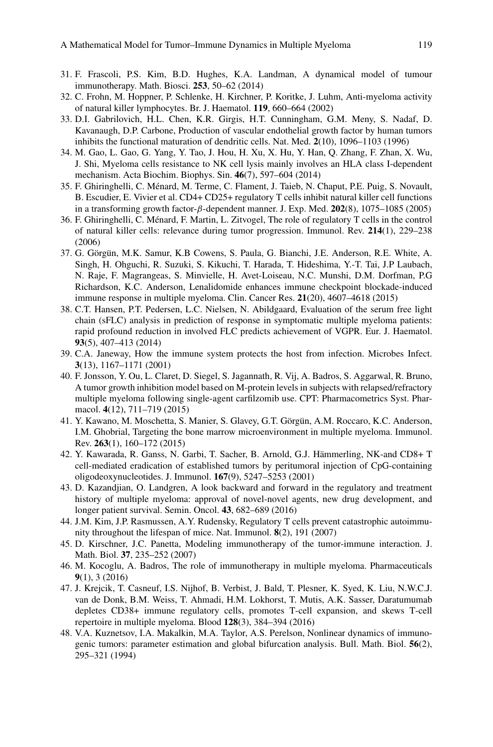- <span id="page-30-13"></span>31. F. Frascoli, P.S. Kim, B.D. Hughes, K.A. Landman, A dynamical model of tumour immunotherapy. Math. Biosci. **253**, 50–62 (2014)
- <span id="page-30-6"></span>32. C. Frohn, M. Hoppner, P. Schlenke, H. Kirchner, P. Koritke, J. Luhm, Anti-myeloma activity of natural killer lymphocytes. Br. J. Haematol. **119**, 660–664 (2002)
- <span id="page-30-9"></span>33. D.I. Gabrilovich, H.L. Chen, K.R. Girgis, H.T. Cunningham, G.M. Meny, S. Nadaf, D. Kavanaugh, D.P. Carbone, Production of vascular endothelial growth factor by human tumors inhibits the functional maturation of dendritic cells. Nat. Med. **2**(10), 1096–1103 (1996)
- <span id="page-30-7"></span>34. M. Gao, L. Gao, G. Yang, Y. Tao, J. Hou, H. Xu, X. Hu, Y. Han, Q. Zhang, F. Zhan, X. Wu, J. Shi, Myeloma cells resistance to NK cell lysis mainly involves an HLA class I-dependent mechanism. Acta Biochim. Biophys. Sin. **46**(7), 597–604 (2014)
- <span id="page-30-10"></span>35. F. Ghiringhelli, C. Ménard, M. Terme, C. Flament, J. Taieb, N. Chaput, P.E. Puig, S. Novault, B. Escudier, E. Vivier et al. CD4+ CD25+ regulatory T cells inhibit natural killer cell functions in a transforming growth factor-*β*-dependent manner. J. Exp. Med. **202**(8), 1075–1085 (2005)
- 36. F. Ghiringhelli, C. Ménard, F. Martin, L. Zitvogel, The role of regulatory T cells in the control of natural killer cells: relevance during tumor progression. Immunol. Rev. **214**(1), 229–238 (2006)
- <span id="page-30-8"></span>37. G. Görgün, M.K. Samur, K.B Cowens, S. Paula, G. Bianchi, J.E. Anderson, R.E. White, A. Singh, H. Ohguchi, R. Suzuki, S. Kikuchi, T. Harada, T. Hideshima, Y.-T. Tai, J.P Laubach, N. Raje, F. Magrangeas, S. Minvielle, H. Avet-Loiseau, N.C. Munshi, D.M. Dorfman, P.G Richardson, K.C. Anderson, Lenalidomide enhances immune checkpoint blockade-induced immune response in multiple myeloma. Clin. Cancer Res. **21**(20), 4607–4618 (2015)
- <span id="page-30-12"></span>38. C.T. Hansen, P.T. Pedersen, L.C. Nielsen, N. Abildgaard, Evaluation of the serum free light chain (sFLC) analysis in prediction of response in symptomatic multiple myeloma patients: rapid profound reduction in involved FLC predicts achievement of VGPR. Eur. J. Haematol. **93**(5), 407–413 (2014)
- 39. C.A. Janeway, How the immune system protects the host from infection. Microbes Infect. **3**(13), 1167–1171 (2001)
- <span id="page-30-11"></span>40. F. Jonsson, Y. Ou, L. Claret, D. Siegel, S. Jagannath, R. Vij, A. Badros, S. Aggarwal, R. Bruno, A tumor growth inhibition model based on M-protein levels in subjects with relapsed/refractory multiple myeloma following single-agent carfilzomib use. CPT: Pharmacometrics Syst. Pharmacol. **4**(12), 711–719 (2015)
- <span id="page-30-4"></span>41. Y. Kawano, M. Moschetta, S. Manier, S. Glavey, G.T. Görgün, A.M. Roccaro, K.C. Anderson, I.M. Ghobrial, Targeting the bone marrow microenvironment in multiple myeloma. Immunol. Rev. **263**(1), 160–172 (2015)
- 42. Y. Kawarada, R. Ganss, N. Garbi, T. Sacher, B. Arnold, G.J. Hämmerling, NK-and CD8+ T cell-mediated eradication of established tumors by peritumoral injection of CpG-containing oligodeoxynucleotides. J. Immunol. **167**(9), 5247–5253 (2001)
- <span id="page-30-0"></span>43. D. Kazandjian, O. Landgren, A look backward and forward in the regulatory and treatment history of multiple myeloma: approval of novel-novel agents, new drug development, and longer patient survival. Semin. Oncol. **43**, 682–689 (2016)
- 44. J.M. Kim, J.P. Rasmussen, A.Y. Rudensky, Regulatory T cells prevent catastrophic autoimmunity throughout the lifespan of mice. Nat. Immunol. **8**(2), 191 (2007)
- <span id="page-30-3"></span>45. D. Kirschner, J.C. Panetta, Modeling immunotherapy of the tumor-immune interaction. J. Math. Biol. **37**, 235–252 (2007)
- <span id="page-30-1"></span>46. M. Kocoglu, A. Badros, The role of immunotherapy in multiple myeloma. Pharmaceuticals **9**(1), 3 (2016)
- <span id="page-30-5"></span>47. J. Krejcik, T. Casneuf, I.S. Nijhof, B. Verbist, J. Bald, T. Plesner, K. Syed, K. Liu, N.W.C.J. van de Donk, B.M. Weiss, T. Ahmadi, H.M. Lokhorst, T. Mutis, A.K. Sasser, Daratumumab depletes CD38+ immune regulatory cells, promotes T-cell expansion, and skews T-cell repertoire in multiple myeloma. Blood **128**(3), 384–394 (2016)
- <span id="page-30-2"></span>48. V.A. Kuznetsov, I.A. Makalkin, M.A. Taylor, A.S. Perelson, Nonlinear dynamics of immunogenic tumors: parameter estimation and global bifurcation analysis. Bull. Math. Biol. **56**(2), 295–321 (1994)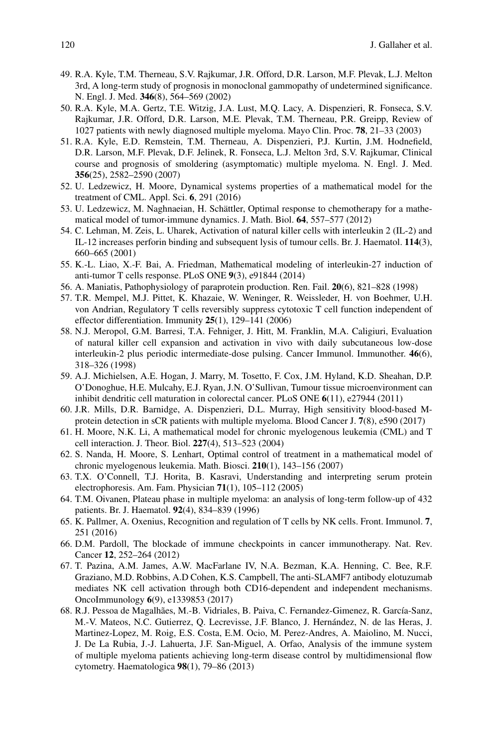- <span id="page-31-17"></span>49. R.A. Kyle, T.M. Therneau, S.V. Rajkumar, J.R. Offord, D.R. Larson, M.F. Plevak, L.J. Melton 3rd, A long-term study of prognosis in monoclonal gammopathy of undetermined significance. N. Engl. J. Med. **346**(8), 564–569 (2002)
- <span id="page-31-16"></span>50. R.A. Kyle, M.A. Gertz, T.E. Witzig, J.A. Lust, M.Q. Lacy, A. Dispenzieri, R. Fonseca, S.V. Rajkumar, J.R. Offord, D.R. Larson, M.E. Plevak, T.M. Therneau, P.R. Greipp, Review of 1027 patients with newly diagnosed multiple myeloma. Mayo Clin. Proc. **78**, 21–33 (2003)
- <span id="page-31-18"></span>51. R.A. Kyle, E.D. Remstein, T.M. Therneau, A. Dispenzieri, P.J. Kurtin, J.M. Hodnefield, D.R. Larson, M.F. Plevak, D.F. Jelinek, R. Fonseca, L.J. Melton 3rd, S.V. Rajkumar, Clinical course and prognosis of smoldering (asymptomatic) multiple myeloma. N. Engl. J. Med. **356**(25), 2582–2590 (2007)
- <span id="page-31-1"></span>52. U. Ledzewicz, H. Moore, Dynamical systems properties of a mathematical model for the treatment of CML. Appl. Sci. **6**, 291 (2016)
- <span id="page-31-13"></span>53. U. Ledzewicz, M. Naghnaeian, H. Schättler, Optimal response to chemotherapy for a mathematical model of tumor-immune dynamics. J. Math. Biol. **64**, 557–577 (2012)
- 54. C. Lehman, M. Zeis, L. Uharek, Activation of natural killer cells with interleukin 2 (IL-2) and IL-12 increases perforin binding and subsequent lysis of tumour cells. Br. J. Haematol. **114**(3), 660–665 (2001)
- <span id="page-31-0"></span>55. K.-L. Liao, X.-F. Bai, A. Friedman, Mathematical modeling of interleukin-27 induction of anti-tumor T cells response. PLoS ONE **9**(3), e91844 (2014)
- <span id="page-31-4"></span>56. A. Maniatis, Pathophysiology of paraprotein production. Ren. Fail. **20**(6), 821–828 (1998)
- <span id="page-31-12"></span>57. T.R. Mempel, M.J. Pittet, K. Khazaie, W. Weninger, R. Weissleder, H. von Boehmer, U.H. von Andrian, Regulatory T cells reversibly suppress cytotoxic T cell function independent of effector differentiation. Immunity **25**(1), 129–141 (2006)
- <span id="page-31-9"></span>58. N.J. Meropol, G.M. Barresi, T.A. Fehniger, J. Hitt, M. Franklin, M.A. Caligiuri, Evaluation of natural killer cell expansion and activation in vivo with daily subcutaneous low-dose interleukin-2 plus periodic intermediate-dose pulsing. Cancer Immunol. Immunother. **46**(6), 318–326 (1998)
- <span id="page-31-10"></span>59. A.J. Michielsen, A.E. Hogan, J. Marry, M. Tosetto, F. Cox, J.M. Hyland, K.D. Sheahan, D.P. O'Donoghue, H.E. Mulcahy, E.J. Ryan, J.N. O'Sullivan, Tumour tissue microenvironment can inhibit dendritic cell maturation in colorectal cancer. PLoS ONE **6**(11), e27944 (2011)
- <span id="page-31-15"></span>60. J.R. Mills, D.R. Barnidge, A. Dispenzieri, D.L. Murray, High sensitivity blood-based Mprotein detection in sCR patients with multiple myeloma. Blood Cancer J. **7**(8), e590 (2017)
- <span id="page-31-2"></span>61. H. Moore, N.K. Li, A mathematical model for chronic myelogenous leukemia (CML) and T cell interaction. J. Theor. Biol. **227**(4), 513–523 (2004)
- <span id="page-31-3"></span>62. S. Nanda, H. Moore, S. Lenhart, Optimal control of treatment in a mathematical model of chronic myelogenous leukemia. Math. Biosci. **210**(1), 143–156 (2007)
- <span id="page-31-7"></span>63. T.X. O'Connell, T.J. Horita, B. Kasravi, Understanding and interpreting serum protein electrophoresis. Am. Fam. Physician **71**(1), 105–112 (2005)
- <span id="page-31-14"></span>64. T.M. Oivanen, Plateau phase in multiple myeloma: an analysis of long-term follow-up of 432 patients. Br. J. Haematol. **92**(4), 834–839 (1996)
- <span id="page-31-8"></span>65. K. Pallmer, A. Oxenius, Recognition and regulation of T cells by NK cells. Front. Immunol. **7**, 251 (2016)
- <span id="page-31-6"></span>66. D.M. Pardoll, The blockade of immune checkpoints in cancer immunotherapy. Nat. Rev. Cancer **12**, 252–264 (2012)
- <span id="page-31-5"></span>67. T. Pazina, A.M. James, A.W. MacFarlane IV, N.A. Bezman, K.A. Henning, C. Bee, R.F. Graziano, M.D. Robbins, A.D Cohen, K.S. Campbell, The anti-SLAMF7 antibody elotuzumab mediates NK cell activation through both CD16-dependent and independent mechanisms. OncoImmunology **6**(9), e1339853 (2017)
- <span id="page-31-11"></span>68. R.J. Pessoa de Magalhães, M.-B. Vidriales, B. Paiva, C. Fernandez-Gimenez, R. García-Sanz, M.-V. Mateos, N.C. Gutierrez, Q. Lecrevisse, J.F. Blanco, J. Hernández, N. de las Heras, J. Martinez-Lopez, M. Roig, E.S. Costa, E.M. Ocio, M. Perez-Andres, A. Maiolino, M. Nucci, J. De La Rubia, J.-J. Lahuerta, J.F. San-Miguel, A. Orfao, Analysis of the immune system of multiple myeloma patients achieving long-term disease control by multidimensional flow cytometry. Haematologica **98**(1), 79–86 (2013)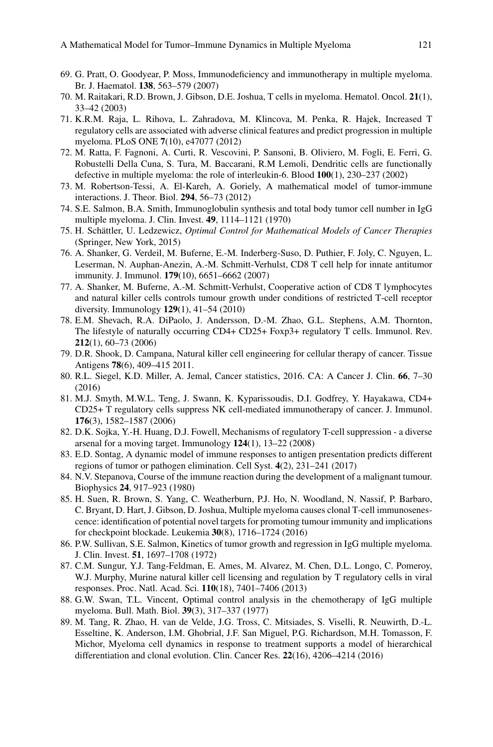- <span id="page-32-11"></span>69. G. Pratt, O. Goodyear, P. Moss, Immunodeficiency and immunotherapy in multiple myeloma. Br. J. Haematol. **138**, 563–579 (2007)
- 70. M. Raitakari, R.D. Brown, J. Gibson, D.E. Joshua, T cells in myeloma. Hematol. Oncol. **21**(1), 33–42 (2003)
- 71. K.R.M. Raja, L. Rihova, L. Zahradova, M. Klincova, M. Penka, R. Hajek, Increased T regulatory cells are associated with adverse clinical features and predict progression in multiple myeloma. PLoS ONE **7**(10), e47077 (2012)
- <span id="page-32-8"></span>72. M. Ratta, F. Fagnoni, A. Curti, R. Vescovini, P. Sansoni, B. Oliviero, M. Fogli, E. Ferri, G. Robustelli Della Cuna, S. Tura, M. Baccarani, R.M Lemoli, Dendritic cells are functionally defective in multiple myeloma: the role of interleukin-6. Blood **100**(1), 230–237 (2002)
- <span id="page-32-13"></span>73. M. Robertson-Tessi, A. El-Kareh, A. Goriely, A mathematical model of tumor-immune interactions. J. Theor. Biol. **294**, 56–73 (2012)
- <span id="page-32-3"></span>74. S.E. Salmon, B.A. Smith, Immunoglobulin synthesis and total body tumor cell number in IgG multiple myeloma. J. Clin. Invest. **49**, 1114–1121 (1970)
- <span id="page-32-2"></span>75. H. Schättler, U. Ledzewicz, *Optimal Control for Mathematical Models of Cancer Therapies* (Springer, New York, 2015)
- <span id="page-32-7"></span>76. A. Shanker, G. Verdeil, M. Buferne, E.-M. Inderberg-Suso, D. Puthier, F. Joly, C. Nguyen, L. Leserman, N. Auphan-Anezin, A.-M. Schmitt-Verhulst, CD8 T cell help for innate antitumor immunity. J. Immunol. **179**(10), 6651–6662 (2007)
- 77. A. Shanker, M. Buferne, A.-M. Schmitt-Verhulst, Cooperative action of CD8 T lymphocytes and natural killer cells controls tumour growth under conditions of restricted T-cell receptor diversity. Immunology **129**(1), 41–54 (2010)
- 78. E.M. Shevach, R.A. DiPaolo, J. Andersson, D.-M. Zhao, G.L. Stephens, A.M. Thornton, The lifestyle of naturally occurring CD4+ CD25+ Foxp3+ regulatory T cells. Immunol. Rev. **212**(1), 60–73 (2006)
- 79. D.R. Shook, D. Campana, Natural killer cell engineering for cellular therapy of cancer. Tissue Antigens **78**(6), 409–415 2011.
- <span id="page-32-0"></span>80. R.L. Siegel, K.D. Miller, A. Jemal, Cancer statistics, 2016. CA: A Cancer J. Clin. **66**, 7–30 (2016)
- <span id="page-32-9"></span>81. M.J. Smyth, M.W.L. Teng, J. Swann, K. Kyparissoudis, D.I. Godfrey, Y. Hayakawa, CD4+ CD25+ T regulatory cells suppress NK cell-mediated immunotherapy of cancer. J. Immunol. **176**(3), 1582–1587 (2006)
- <span id="page-32-12"></span>82. D.K. Sojka, Y.-H. Huang, D.J. Fowell, Mechanisms of regulatory T-cell suppression - a diverse arsenal for a moving target. Immunology **124**(1), 13–22 (2008)
- <span id="page-32-14"></span>83. E.D. Sontag, A dynamic model of immune responses to antigen presentation predicts different regions of tumor or pathogen elimination. Cell Syst. **4**(2), 231–241 (2017)
- <span id="page-32-1"></span>84. N.V. Stepanova, Course of the immune reaction during the development of a malignant tumour. Biophysics **24**, 917–923 (1980)
- 85. H. Suen, R. Brown, S. Yang, C. Weatherburn, P.J. Ho, N. Woodland, N. Nassif, P. Barbaro, C. Bryant, D. Hart, J. Gibson, D. Joshua, Multiple myeloma causes clonal T-cell immunosenescence: identification of potential novel targets for promoting tumour immunity and implications for checkpoint blockade. Leukemia **30**(8), 1716–1724 (2016)
- <span id="page-32-4"></span>86. P.W. Sullivan, S.E. Salmon, Kinetics of tumor growth and regression in IgG multiple myeloma. J. Clin. Invest. **51**, 1697–1708 (1972)
- <span id="page-32-10"></span>87. C.M. Sungur, Y.J. Tang-Feldman, E. Ames, M. Alvarez, M. Chen, D.L. Longo, C. Pomeroy, W.J. Murphy, Murine natural killer cell licensing and regulation by T regulatory cells in viral responses. Proc. Natl. Acad. Sci. **110**(18), 7401–7406 (2013)
- <span id="page-32-5"></span>88. G.W. Swan, T.L. Vincent, Optimal control analysis in the chemotherapy of IgG multiple myeloma. Bull. Math. Biol. **39**(3), 317–337 (1977)
- <span id="page-32-6"></span>89. M. Tang, R. Zhao, H. van de Velde, J.G. Tross, C. Mitsiades, S. Viselli, R. Neuwirth, D.-L. Esseltine, K. Anderson, I.M. Ghobrial, J.F. San Miguel, P.G. Richardson, M.H. Tomasson, F. Michor, Myeloma cell dynamics in response to treatment supports a model of hierarchical differentiation and clonal evolution. Clin. Cancer Res. **22**(16), 4206–4214 (2016)